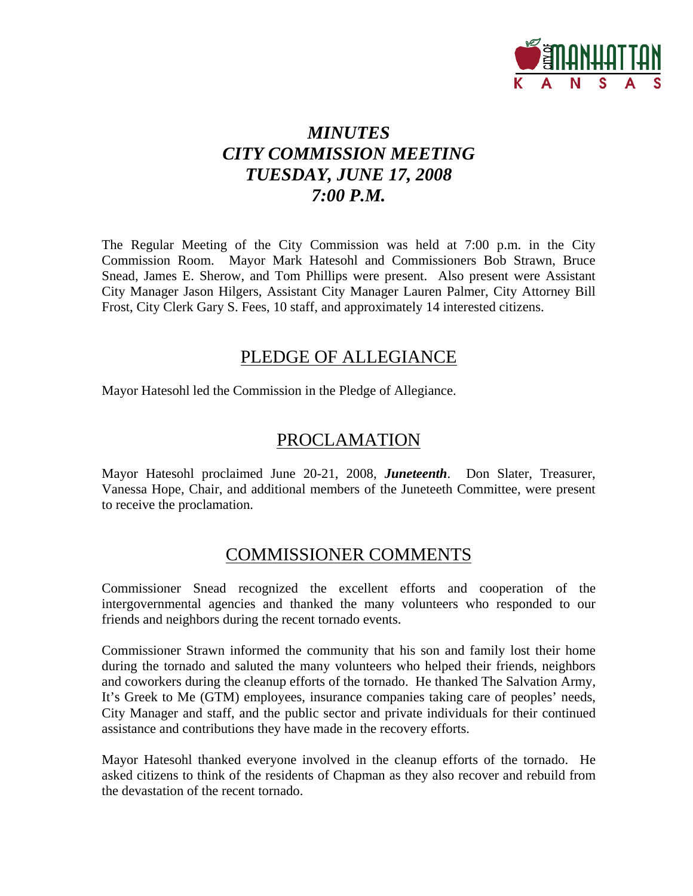

# *MINUTES CITY COMMISSION MEETING TUESDAY, JUNE 17, 2008 7:00 P.M.*

The Regular Meeting of the City Commission was held at 7:00 p.m. in the City Commission Room. Mayor Mark Hatesohl and Commissioners Bob Strawn, Bruce Snead, James E. Sherow, and Tom Phillips were present. Also present were Assistant City Manager Jason Hilgers, Assistant City Manager Lauren Palmer, City Attorney Bill Frost, City Clerk Gary S. Fees, 10 staff, and approximately 14 interested citizens.

# PLEDGE OF ALLEGIANCE

Mayor Hatesohl led the Commission in the Pledge of Allegiance.

# PROCLAMATION

Mayor Hatesohl proclaimed June 20-21, 2008, *Juneteenth*. Don Slater, Treasurer, Vanessa Hope, Chair, and additional members of the Juneteeth Committee, were present to receive the proclamation.

# COMMISSIONER COMMENTS

Commissioner Snead recognized the excellent efforts and cooperation of the intergovernmental agencies and thanked the many volunteers who responded to our friends and neighbors during the recent tornado events.

Commissioner Strawn informed the community that his son and family lost their home during the tornado and saluted the many volunteers who helped their friends, neighbors and coworkers during the cleanup efforts of the tornado. He thanked The Salvation Army, It's Greek to Me (GTM) employees, insurance companies taking care of peoples' needs, City Manager and staff, and the public sector and private individuals for their continued assistance and contributions they have made in the recovery efforts.

Mayor Hatesohl thanked everyone involved in the cleanup efforts of the tornado. He asked citizens to think of the residents of Chapman as they also recover and rebuild from the devastation of the recent tornado.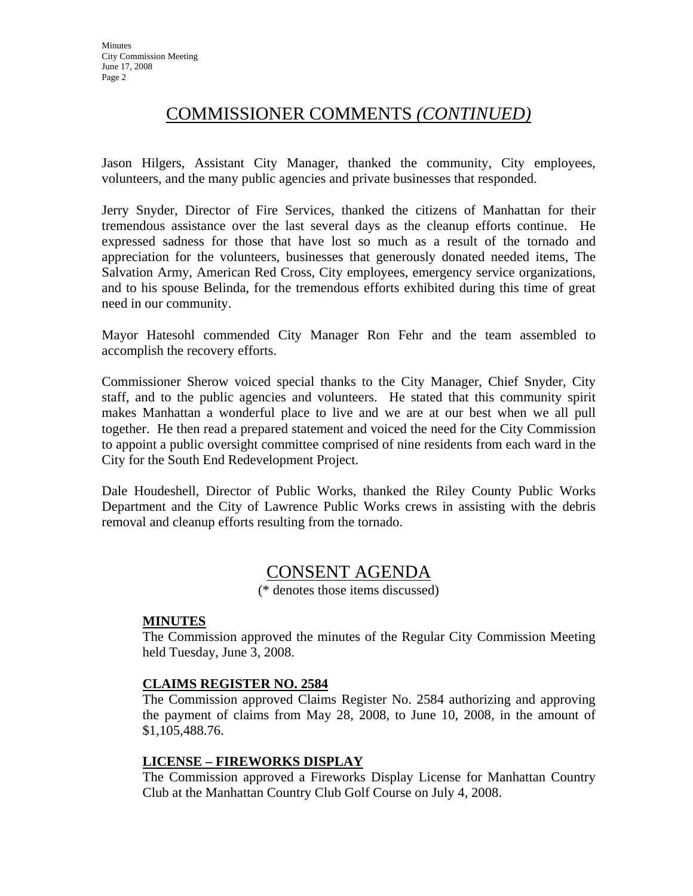# COMMISSIONER COMMENTS *(CONTINUED)*

Jason Hilgers, Assistant City Manager, thanked the community, City employees, volunteers, and the many public agencies and private businesses that responded.

Jerry Snyder, Director of Fire Services, thanked the citizens of Manhattan for their tremendous assistance over the last several days as the cleanup efforts continue. He expressed sadness for those that have lost so much as a result of the tornado and appreciation for the volunteers, businesses that generously donated needed items, The Salvation Army, American Red Cross, City employees, emergency service organizations, and to his spouse Belinda, for the tremendous efforts exhibited during this time of great need in our community.

Mayor Hatesohl commended City Manager Ron Fehr and the team assembled to accomplish the recovery efforts.

Commissioner Sherow voiced special thanks to the City Manager, Chief Snyder, City staff, and to the public agencies and volunteers. He stated that this community spirit makes Manhattan a wonderful place to live and we are at our best when we all pull together. He then read a prepared statement and voiced the need for the City Commission to appoint a public oversight committee comprised of nine residents from each ward in the City for the South End Redevelopment Project.

Dale Houdeshell, Director of Public Works, thanked the Riley County Public Works Department and the City of Lawrence Public Works crews in assisting with the debris removal and cleanup efforts resulting from the tornado.

# CONSENT AGENDA

(\* denotes those items discussed)

#### **MINUTES**

The Commission approved the minutes of the Regular City Commission Meeting held Tuesday, June 3, 2008.

#### **CLAIMS REGISTER NO. 2584**

The Commission approved Claims Register No. 2584 authorizing and approving the payment of claims from May 28, 2008, to June 10, 2008, in the amount of \$1,105,488.76.

#### **LICENSE – FIREWORKS DISPLAY**

The Commission approved a Fireworks Display License for Manhattan Country Club at the Manhattan Country Club Golf Course on July 4, 2008.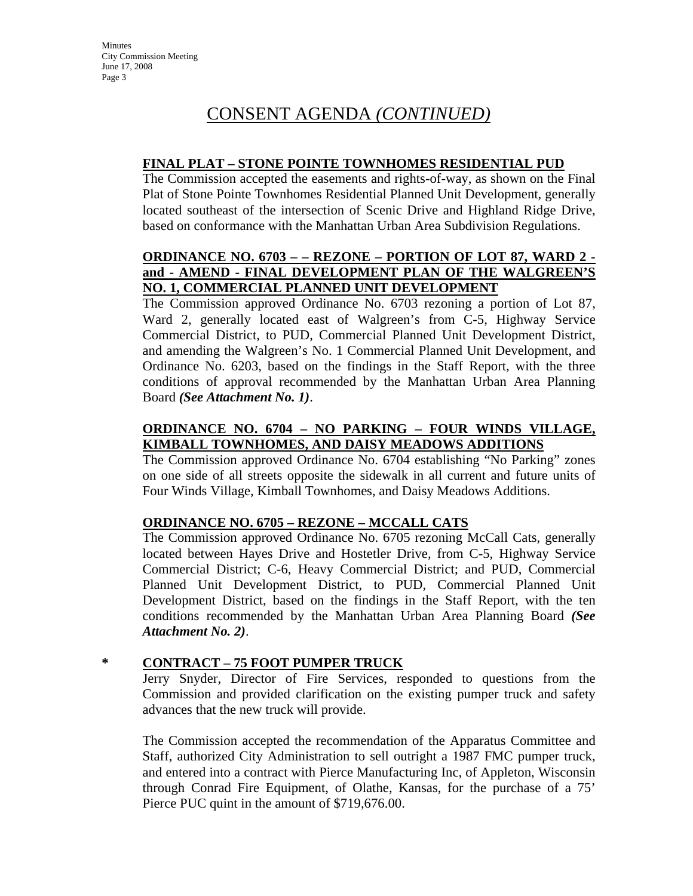#### **FINAL PLAT – STONE POINTE TOWNHOMES RESIDENTIAL PUD**

The Commission accepted the easements and rights-of-way, as shown on the Final Plat of Stone Pointe Townhomes Residential Planned Unit Development, generally located southeast of the intersection of Scenic Drive and Highland Ridge Drive, based on conformance with the Manhattan Urban Area Subdivision Regulations.

#### **ORDINANCE NO. 6703 – – REZONE – PORTION OF LOT 87, WARD 2 and - AMEND - FINAL DEVELOPMENT PLAN OF THE WALGREEN'S NO. 1, COMMERCIAL PLANNED UNIT DEVELOPMENT**

The Commission approved Ordinance No. 6703 rezoning a portion of Lot 87, Ward 2, generally located east of Walgreen's from C-5, Highway Service Commercial District, to PUD, Commercial Planned Unit Development District, and amending the Walgreen's No. 1 Commercial Planned Unit Development, and Ordinance No. 6203, based on the findings in the Staff Report, with the three conditions of approval recommended by the Manhattan Urban Area Planning Board *(See Attachment No. 1)*.

# **ORDINANCE NO. 6704 – NO PARKING – FOUR WINDS VILLAGE, KIMBALL TOWNHOMES, AND DAISY MEADOWS ADDITIONS**

The Commission approved Ordinance No. 6704 establishing "No Parking" zones on one side of all streets opposite the sidewalk in all current and future units of Four Winds Village, Kimball Townhomes, and Daisy Meadows Additions.

#### **ORDINANCE NO. 6705 – REZONE – MCCALL CATS**

The Commission approved Ordinance No. 6705 rezoning McCall Cats, generally located between Hayes Drive and Hostetler Drive, from C-5, Highway Service Commercial District; C-6, Heavy Commercial District; and PUD, Commercial Planned Unit Development District, to PUD, Commercial Planned Unit Development District, based on the findings in the Staff Report, with the ten conditions recommended by the Manhattan Urban Area Planning Board *(See Attachment No. 2)*.

#### **\* CONTRACT – 75 FOOT PUMPER TRUCK**

Jerry Snyder, Director of Fire Services, responded to questions from the Commission and provided clarification on the existing pumper truck and safety advances that the new truck will provide.

The Commission accepted the recommendation of the Apparatus Committee and Staff, authorized City Administration to sell outright a 1987 FMC pumper truck, and entered into a contract with Pierce Manufacturing Inc, of Appleton, Wisconsin through Conrad Fire Equipment, of Olathe, Kansas, for the purchase of a 75' Pierce PUC quint in the amount of \$719,676.00.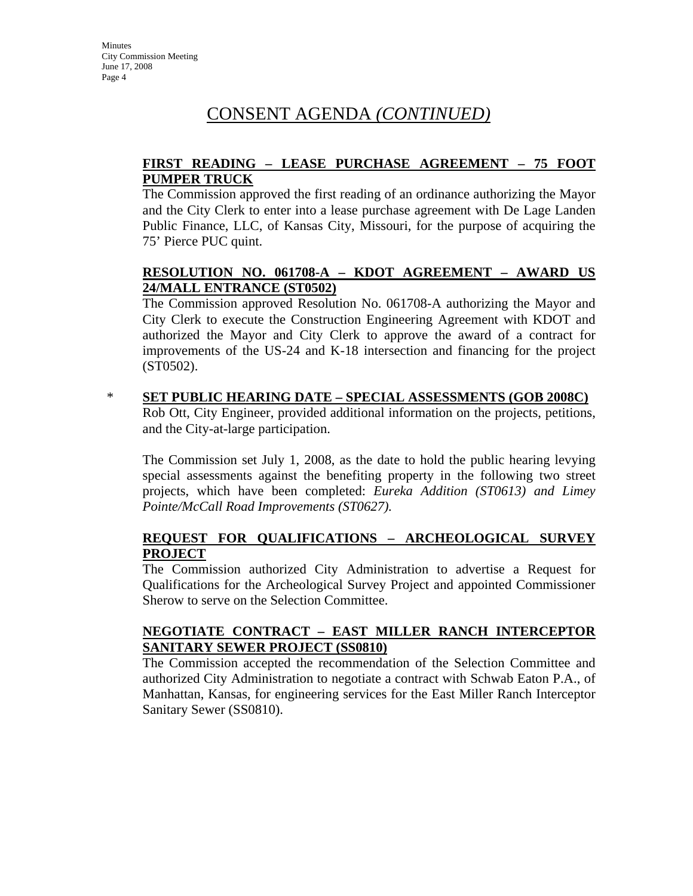### **FIRST READING – LEASE PURCHASE AGREEMENT – 75 FOOT PUMPER TRUCK**

The Commission approved the first reading of an ordinance authorizing the Mayor and the City Clerk to enter into a lease purchase agreement with De Lage Landen Public Finance, LLC, of Kansas City, Missouri, for the purpose of acquiring the 75' Pierce PUC quint.

### **RESOLUTION NO. 061708-A – KDOT AGREEMENT – AWARD US 24/MALL ENTRANCE (ST0502)**

The Commission approved Resolution No. 061708-A authorizing the Mayor and City Clerk to execute the Construction Engineering Agreement with KDOT and authorized the Mayor and City Clerk to approve the award of a contract for improvements of the US-24 and K-18 intersection and financing for the project (ST0502).

\* **SET PUBLIC HEARING DATE – SPECIAL ASSESSMENTS (GOB 2008C)** Rob Ott, City Engineer, provided additional information on the projects, petitions, and the City-at-large participation.

The Commission set July 1, 2008, as the date to hold the public hearing levying special assessments against the benefiting property in the following two street projects, which have been completed: *Eureka Addition (ST0613) and Limey Pointe/McCall Road Improvements (ST0627).*

#### **REQUEST FOR QUALIFICATIONS – ARCHEOLOGICAL SURVEY PROJECT**

The Commission authorized City Administration to advertise a Request for Qualifications for the Archeological Survey Project and appointed Commissioner Sherow to serve on the Selection Committee.

#### **NEGOTIATE CONTRACT – EAST MILLER RANCH INTERCEPTOR SANITARY SEWER PROJECT (SS0810)**

The Commission accepted the recommendation of the Selection Committee and authorized City Administration to negotiate a contract with Schwab Eaton P.A., of Manhattan, Kansas, for engineering services for the East Miller Ranch Interceptor Sanitary Sewer (SS0810).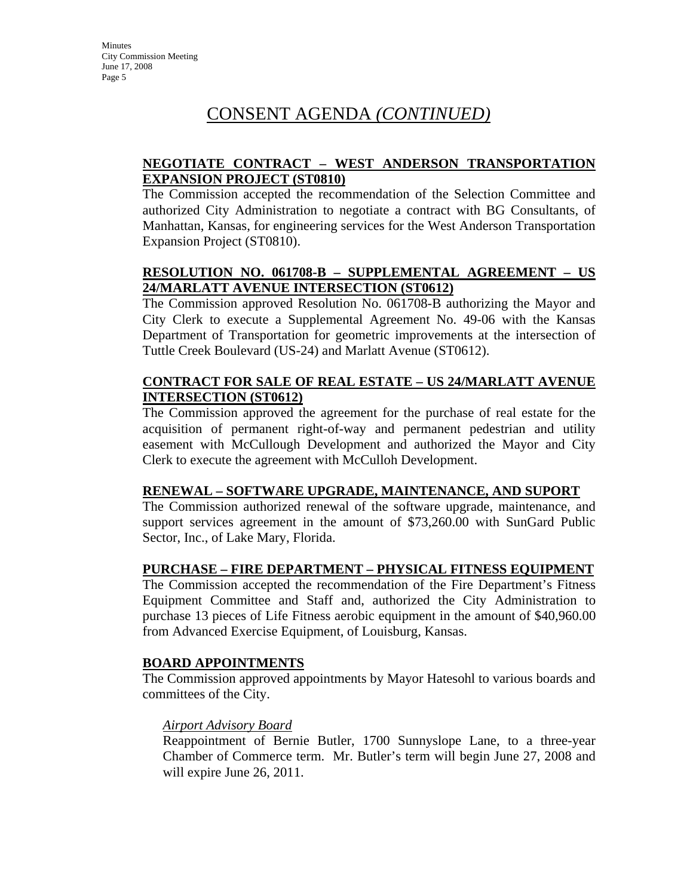### **NEGOTIATE CONTRACT – WEST ANDERSON TRANSPORTATION EXPANSION PROJECT (ST0810)**

The Commission accepted the recommendation of the Selection Committee and authorized City Administration to negotiate a contract with BG Consultants, of Manhattan, Kansas, for engineering services for the West Anderson Transportation Expansion Project (ST0810).

## **RESOLUTION NO. 061708-B – SUPPLEMENTAL AGREEMENT – US 24/MARLATT AVENUE INTERSECTION (ST0612)**

The Commission approved Resolution No. 061708-B authorizing the Mayor and City Clerk to execute a Supplemental Agreement No. 49-06 with the Kansas Department of Transportation for geometric improvements at the intersection of Tuttle Creek Boulevard (US-24) and Marlatt Avenue (ST0612).

### **CONTRACT FOR SALE OF REAL ESTATE – US 24/MARLATT AVENUE INTERSECTION (ST0612)**

The Commission approved the agreement for the purchase of real estate for the acquisition of permanent right-of-way and permanent pedestrian and utility easement with McCullough Development and authorized the Mayor and City Clerk to execute the agreement with McCulloh Development.

#### **RENEWAL – SOFTWARE UPGRADE, MAINTENANCE, AND SUPORT**

The Commission authorized renewal of the software upgrade, maintenance, and support services agreement in the amount of \$73,260.00 with SunGard Public Sector, Inc., of Lake Mary, Florida.

#### **PURCHASE – FIRE DEPARTMENT – PHYSICAL FITNESS EQUIPMENT**

The Commission accepted the recommendation of the Fire Department's Fitness Equipment Committee and Staff and, authorized the City Administration to purchase 13 pieces of Life Fitness aerobic equipment in the amount of \$40,960.00 from Advanced Exercise Equipment, of Louisburg, Kansas.

#### **BOARD APPOINTMENTS**

The Commission approved appointments by Mayor Hatesohl to various boards and committees of the City.

#### *Airport Advisory Board*

Reappointment of Bernie Butler, 1700 Sunnyslope Lane, to a three-year Chamber of Commerce term. Mr. Butler's term will begin June 27, 2008 and will expire June 26, 2011.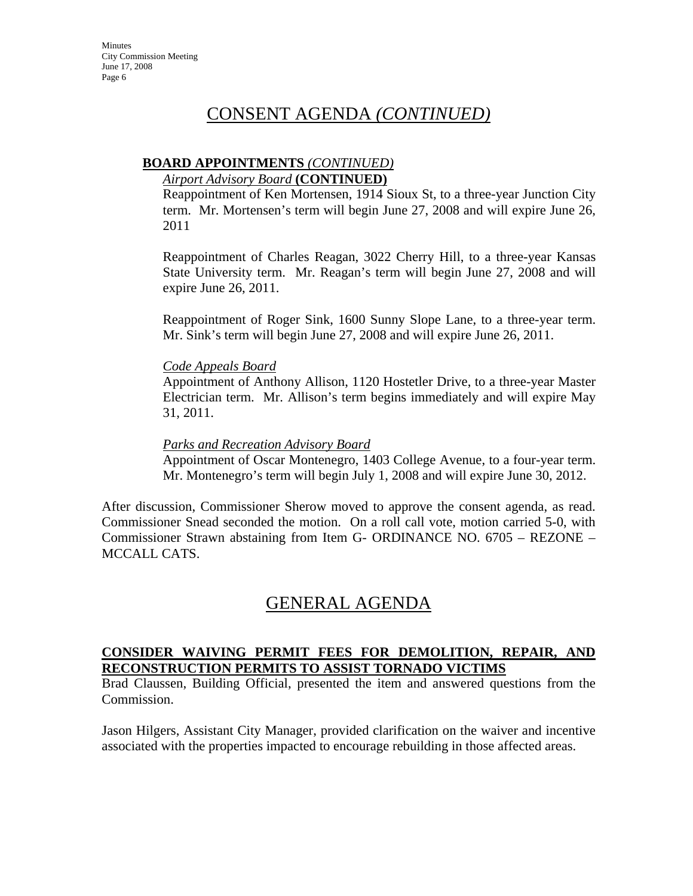#### **BOARD APPOINTMENTS** *(CONTINUED)*

#### *Airport Advisory Board* **(CONTINUED)**

Reappointment of Ken Mortensen, 1914 Sioux St, to a three-year Junction City term. Mr. Mortensen's term will begin June 27, 2008 and will expire June 26, 2011

Reappointment of Charles Reagan, 3022 Cherry Hill, to a three-year Kansas State University term. Mr. Reagan's term will begin June 27, 2008 and will expire June 26, 2011.

Reappointment of Roger Sink, 1600 Sunny Slope Lane, to a three-year term. Mr. Sink's term will begin June 27, 2008 and will expire June 26, 2011.

#### *Code Appeals Board*

Appointment of Anthony Allison, 1120 Hostetler Drive, to a three-year Master Electrician term. Mr. Allison's term begins immediately and will expire May 31, 2011.

#### *Parks and Recreation Advisory Board*

Appointment of Oscar Montenegro, 1403 College Avenue, to a four-year term. Mr. Montenegro's term will begin July 1, 2008 and will expire June 30, 2012.

After discussion, Commissioner Sherow moved to approve the consent agenda, as read. Commissioner Snead seconded the motion. On a roll call vote, motion carried 5-0, with Commissioner Strawn abstaining from Item G- ORDINANCE NO. 6705 – REZONE – MCCALL CATS.

# GENERAL AGENDA

#### **CONSIDER WAIVING PERMIT FEES FOR DEMOLITION, REPAIR, AND RECONSTRUCTION PERMITS TO ASSIST TORNADO VICTIMS**

Brad Claussen, Building Official, presented the item and answered questions from the Commission.

Jason Hilgers, Assistant City Manager, provided clarification on the waiver and incentive associated with the properties impacted to encourage rebuilding in those affected areas.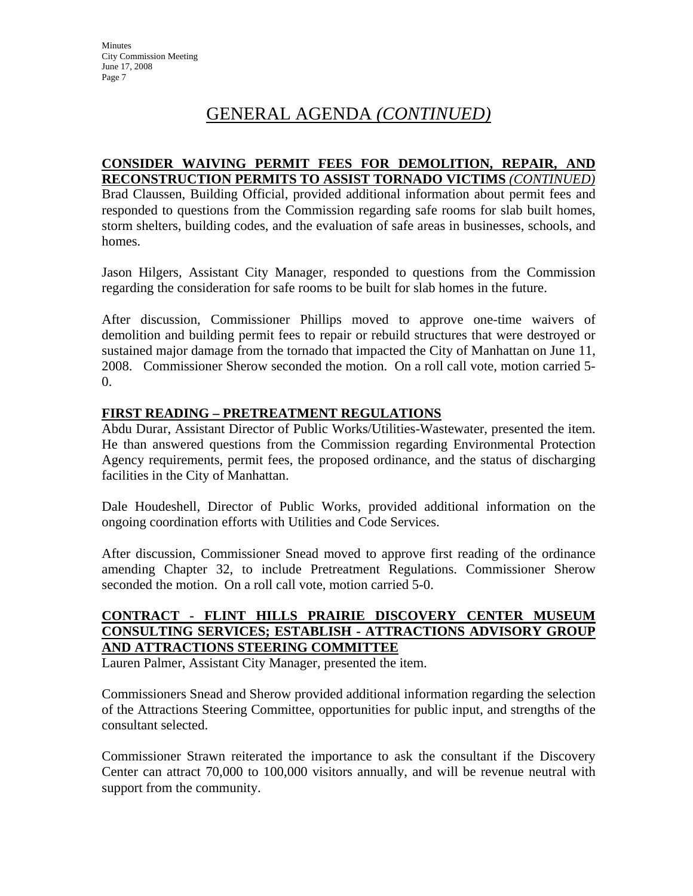# GENERAL AGENDA *(CONTINUED)*

#### **CONSIDER WAIVING PERMIT FEES FOR DEMOLITION, REPAIR, AND RECONSTRUCTION PERMITS TO ASSIST TORNADO VICTIMS** *(CONTINUED)*

Brad Claussen, Building Official, provided additional information about permit fees and responded to questions from the Commission regarding safe rooms for slab built homes, storm shelters, building codes, and the evaluation of safe areas in businesses, schools, and homes.

Jason Hilgers, Assistant City Manager, responded to questions from the Commission regarding the consideration for safe rooms to be built for slab homes in the future.

After discussion, Commissioner Phillips moved to approve one-time waivers of demolition and building permit fees to repair or rebuild structures that were destroyed or sustained major damage from the tornado that impacted the City of Manhattan on June 11, 2008. Commissioner Sherow seconded the motion. On a roll call vote, motion carried 5-  $\overline{0}$ .

#### **FIRST READING – PRETREATMENT REGULATIONS**

Abdu Durar, Assistant Director of Public Works/Utilities-Wastewater, presented the item. He than answered questions from the Commission regarding Environmental Protection Agency requirements, permit fees, the proposed ordinance, and the status of discharging facilities in the City of Manhattan.

Dale Houdeshell, Director of Public Works, provided additional information on the ongoing coordination efforts with Utilities and Code Services.

After discussion, Commissioner Snead moved to approve first reading of the ordinance amending Chapter 32, to include Pretreatment Regulations. Commissioner Sherow seconded the motion. On a roll call vote, motion carried 5-0.

## **CONTRACT - FLINT HILLS PRAIRIE DISCOVERY CENTER MUSEUM CONSULTING SERVICES; ESTABLISH - ATTRACTIONS ADVISORY GROUP AND ATTRACTIONS STEERING COMMITTEE**

Lauren Palmer, Assistant City Manager, presented the item.

Commissioners Snead and Sherow provided additional information regarding the selection of the Attractions Steering Committee, opportunities for public input, and strengths of the consultant selected.

Commissioner Strawn reiterated the importance to ask the consultant if the Discovery Center can attract 70,000 to 100,000 visitors annually, and will be revenue neutral with support from the community.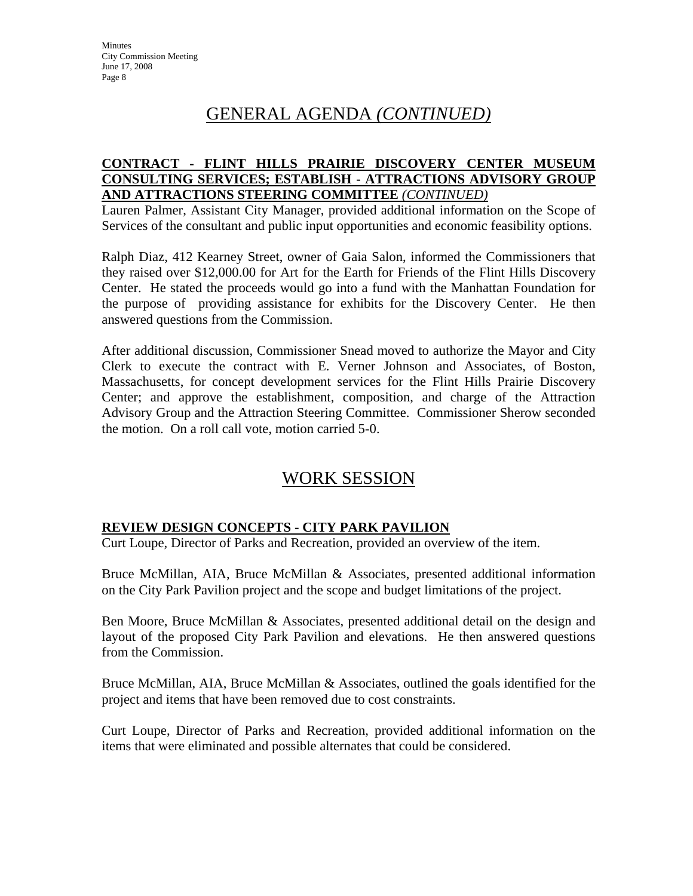# GENERAL AGENDA *(CONTINUED)*

#### **CONTRACT - FLINT HILLS PRAIRIE DISCOVERY CENTER MUSEUM CONSULTING SERVICES; ESTABLISH - ATTRACTIONS ADVISORY GROUP AND ATTRACTIONS STEERING COMMITTEE** *(CONTINUED)*

Lauren Palmer, Assistant City Manager, provided additional information on the Scope of Services of the consultant and public input opportunities and economic feasibility options.

Ralph Diaz, 412 Kearney Street, owner of Gaia Salon, informed the Commissioners that they raised over \$12,000.00 for Art for the Earth for Friends of the Flint Hills Discovery Center. He stated the proceeds would go into a fund with the Manhattan Foundation for the purpose of providing assistance for exhibits for the Discovery Center. He then answered questions from the Commission.

After additional discussion, Commissioner Snead moved to authorize the Mayor and City Clerk to execute the contract with E. Verner Johnson and Associates, of Boston, Massachusetts, for concept development services for the Flint Hills Prairie Discovery Center; and approve the establishment, composition, and charge of the Attraction Advisory Group and the Attraction Steering Committee. Commissioner Sherow seconded the motion. On a roll call vote, motion carried 5-0.

# WORK SESSION

# **REVIEW DESIGN CONCEPTS - CITY PARK PAVILION**

Curt Loupe, Director of Parks and Recreation, provided an overview of the item.

Bruce McMillan, AIA, Bruce McMillan & Associates, presented additional information on the City Park Pavilion project and the scope and budget limitations of the project.

Ben Moore, Bruce McMillan & Associates, presented additional detail on the design and layout of the proposed City Park Pavilion and elevations. He then answered questions from the Commission.

Bruce McMillan, AIA, Bruce McMillan & Associates, outlined the goals identified for the project and items that have been removed due to cost constraints.

Curt Loupe, Director of Parks and Recreation, provided additional information on the items that were eliminated and possible alternates that could be considered.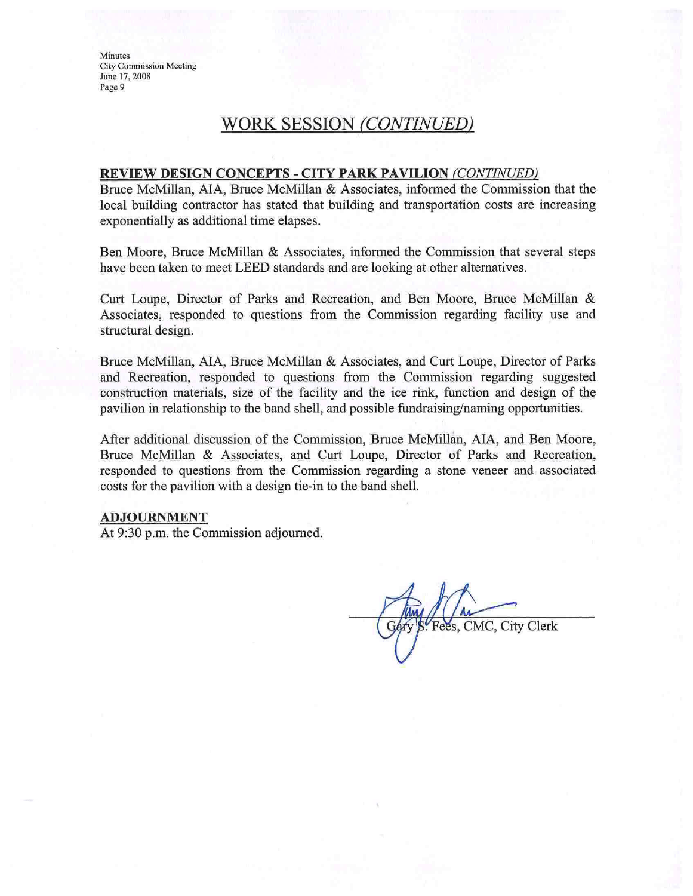**Minutes City Commission Meeting** June 17, 2008 Page 9

# WORK SESSION (CONTINUED)

#### **REVIEW DESIGN CONCEPTS - CITY PARK PAVILION (CONTINUED)**

Bruce McMillan, AIA, Bruce McMillan & Associates, informed the Commission that the local building contractor has stated that building and transportation costs are increasing exponentially as additional time elapses.

Ben Moore, Bruce McMillan & Associates, informed the Commission that several steps have been taken to meet LEED standards and are looking at other alternatives.

Curt Loupe, Director of Parks and Recreation, and Ben Moore, Bruce McMillan & Associates, responded to questions from the Commission regarding facility use and structural design.

Bruce McMillan, AIA, Bruce McMillan & Associates, and Curt Loupe, Director of Parks and Recreation, responded to questions from the Commission regarding suggested construction materials, size of the facility and the ice rink, function and design of the pavilion in relationship to the band shell, and possible fundraising/naming opportunities.

After additional discussion of the Commission, Bruce McMillan, AIA, and Ben Moore, Bruce McMillan & Associates, and Curt Loupe, Director of Parks and Recreation, responded to questions from the Commission regarding a stone veneer and associated costs for the pavilion with a design tie-in to the band shell.

#### **ADJOURNMENT**

At 9:30 p.m. the Commission adjourned.

Fees, CMC, City Clerk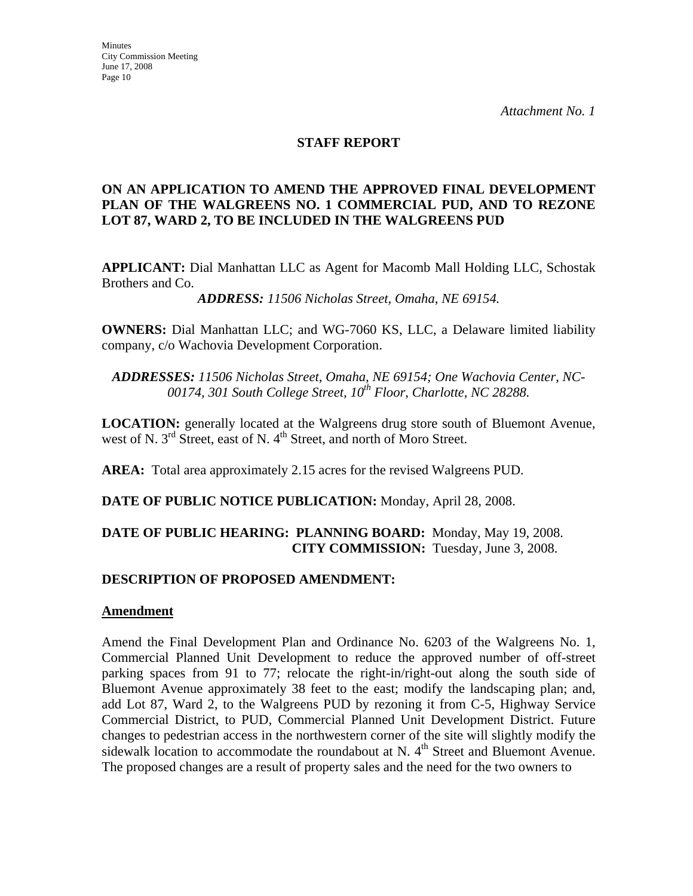#### **STAFF REPORT**

#### **ON AN APPLICATION TO AMEND THE APPROVED FINAL DEVELOPMENT PLAN OF THE WALGREENS NO. 1 COMMERCIAL PUD, AND TO REZONE LOT 87, WARD 2, TO BE INCLUDED IN THE WALGREENS PUD**

**APPLICANT:** Dial Manhattan LLC as Agent for Macomb Mall Holding LLC, Schostak Brothers and Co.

*ADDRESS: 11506 Nicholas Street, Omaha, NE 69154.*

**OWNERS:** Dial Manhattan LLC; and WG-7060 KS, LLC, a Delaware limited liability company, c/o Wachovia Development Corporation.

*ADDRESSES: 11506 Nicholas Street, Omaha, NE 69154; One Wachovia Center, NC-*00174, 301 South College Street, 10<sup>th</sup> Floor, Charlotte, NC 28288.

**LOCATION:** generally located at the Walgreens drug store south of Bluemont Avenue, west of N. 3<sup>rd</sup> Street, east of N. 4<sup>th</sup> Street, and north of Moro Street.

**AREA:** Total area approximately 2.15 acres for the revised Walgreens PUD.

**DATE OF PUBLIC NOTICE PUBLICATION:** Monday, April 28, 2008.

## **DATE OF PUBLIC HEARING: PLANNING BOARD:** Monday, May 19, 2008. **CITY COMMISSION:** Tuesday, June 3, 2008.

#### **DESCRIPTION OF PROPOSED AMENDMENT:**

#### **Amendment**

Amend the Final Development Plan and Ordinance No. 6203 of the Walgreens No. 1, Commercial Planned Unit Development to reduce the approved number of off-street parking spaces from 91 to 77; relocate the right-in/right-out along the south side of Bluemont Avenue approximately 38 feet to the east; modify the landscaping plan; and, add Lot 87, Ward 2, to the Walgreens PUD by rezoning it from C-5, Highway Service Commercial District, to PUD, Commercial Planned Unit Development District. Future changes to pedestrian access in the northwestern corner of the site will slightly modify the sidewalk location to accommodate the roundabout at N. 4<sup>th</sup> Street and Bluemont Avenue. The proposed changes are a result of property sales and the need for the two owners to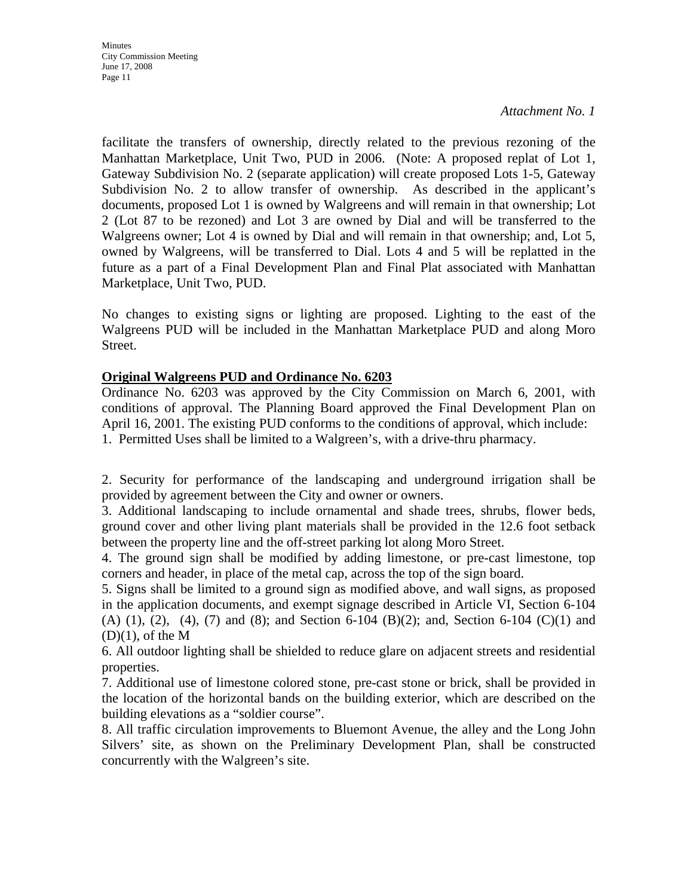**Minutes** City Commission Meeting June 17, 2008 Page 11

*Attachment No. 1*

facilitate the transfers of ownership, directly related to the previous rezoning of the Manhattan Marketplace, Unit Two, PUD in 2006. (Note: A proposed replat of Lot 1, Gateway Subdivision No. 2 (separate application) will create proposed Lots 1-5, Gateway Subdivision No. 2 to allow transfer of ownership. As described in the applicant's documents, proposed Lot 1 is owned by Walgreens and will remain in that ownership; Lot 2 (Lot 87 to be rezoned) and Lot 3 are owned by Dial and will be transferred to the Walgreens owner; Lot 4 is owned by Dial and will remain in that ownership; and, Lot 5, owned by Walgreens, will be transferred to Dial. Lots 4 and 5 will be replatted in the future as a part of a Final Development Plan and Final Plat associated with Manhattan Marketplace, Unit Two, PUD.

No changes to existing signs or lighting are proposed. Lighting to the east of the Walgreens PUD will be included in the Manhattan Marketplace PUD and along Moro Street.

#### **Original Walgreens PUD and Ordinance No. 6203**

Ordinance No. 6203 was approved by the City Commission on March 6, 2001, with conditions of approval. The Planning Board approved the Final Development Plan on April 16, 2001. The existing PUD conforms to the conditions of approval, which include: 1. Permitted Uses shall be limited to a Walgreen's, with a drive-thru pharmacy.

2. Security for performance of the landscaping and underground irrigation shall be provided by agreement between the City and owner or owners.

3. Additional landscaping to include ornamental and shade trees, shrubs, flower beds, ground cover and other living plant materials shall be provided in the 12.6 foot setback between the property line and the off-street parking lot along Moro Street.

4. The ground sign shall be modified by adding limestone, or pre-cast limestone, top corners and header, in place of the metal cap, across the top of the sign board.

5. Signs shall be limited to a ground sign as modified above, and wall signs, as proposed in the application documents, and exempt signage described in Article VI, Section 6-104 (A) (1), (2), (4), (7) and (8); and Section 6-104 (B)(2); and, Section 6-104 (C)(1) and  $(D)(1)$ , of the M

6. All outdoor lighting shall be shielded to reduce glare on adjacent streets and residential properties.

7. Additional use of limestone colored stone, pre-cast stone or brick, shall be provided in the location of the horizontal bands on the building exterior, which are described on the building elevations as a "soldier course".

8. All traffic circulation improvements to Bluemont Avenue, the alley and the Long John Silvers' site, as shown on the Preliminary Development Plan, shall be constructed concurrently with the Walgreen's site.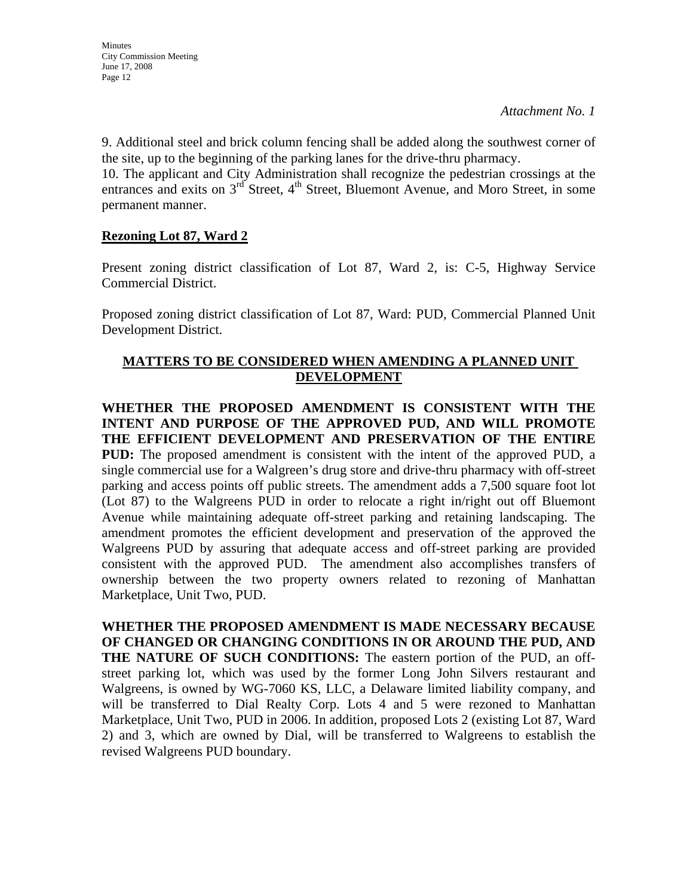9. Additional steel and brick column fencing shall be added along the southwest corner of the site, up to the beginning of the parking lanes for the drive-thru pharmacy.

10. The applicant and City Administration shall recognize the pedestrian crossings at the entrances and exits on  $3^{rd}$  Street,  $4^{th}$  Street, Bluemont Avenue, and Moro Street, in some permanent manner.

# **Rezoning Lot 87, Ward 2**

Present zoning district classification of Lot 87, Ward 2, is: C-5, Highway Service Commercial District.

Proposed zoning district classification of Lot 87, Ward: PUD, Commercial Planned Unit Development District.

# **MATTERS TO BE CONSIDERED WHEN AMENDING A PLANNED UNIT DEVELOPMENT**

**WHETHER THE PROPOSED AMENDMENT IS CONSISTENT WITH THE INTENT AND PURPOSE OF THE APPROVED PUD, AND WILL PROMOTE THE EFFICIENT DEVELOPMENT AND PRESERVATION OF THE ENTIRE PUD:** The proposed amendment is consistent with the intent of the approved PUD, a single commercial use for a Walgreen's drug store and drive-thru pharmacy with off-street parking and access points off public streets. The amendment adds a 7,500 square foot lot (Lot 87) to the Walgreens PUD in order to relocate a right in/right out off Bluemont Avenue while maintaining adequate off-street parking and retaining landscaping. The amendment promotes the efficient development and preservation of the approved the Walgreens PUD by assuring that adequate access and off-street parking are provided consistent with the approved PUD. The amendment also accomplishes transfers of ownership between the two property owners related to rezoning of Manhattan Marketplace, Unit Two, PUD.

**WHETHER THE PROPOSED AMENDMENT IS MADE NECESSARY BECAUSE OF CHANGED OR CHANGING CONDITIONS IN OR AROUND THE PUD, AND THE NATURE OF SUCH CONDITIONS:** The eastern portion of the PUD, an offstreet parking lot, which was used by the former Long John Silvers restaurant and Walgreens, is owned by WG-7060 KS, LLC, a Delaware limited liability company, and will be transferred to Dial Realty Corp. Lots 4 and 5 were rezoned to Manhattan Marketplace, Unit Two, PUD in 2006. In addition, proposed Lots 2 (existing Lot 87, Ward 2) and 3, which are owned by Dial, will be transferred to Walgreens to establish the revised Walgreens PUD boundary.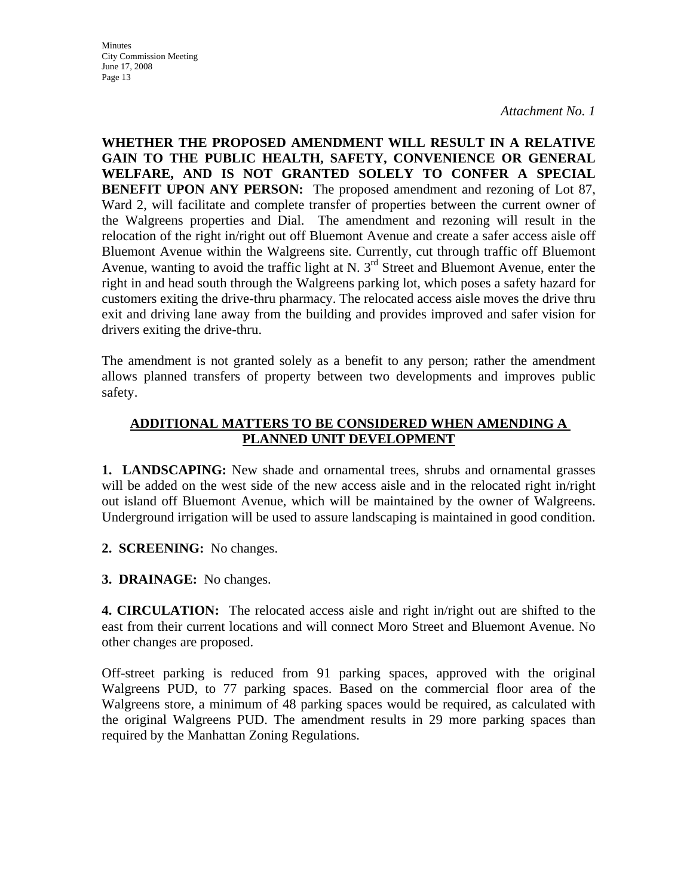**Minutes** City Commission Meeting June 17, 2008 Page 13

*Attachment No. 1*

**WHETHER THE PROPOSED AMENDMENT WILL RESULT IN A RELATIVE GAIN TO THE PUBLIC HEALTH, SAFETY, CONVENIENCE OR GENERAL WELFARE, AND IS NOT GRANTED SOLELY TO CONFER A SPECIAL BENEFIT UPON ANY PERSON:** The proposed amendment and rezoning of Lot 87, Ward 2, will facilitate and complete transfer of properties between the current owner of the Walgreens properties and Dial. The amendment and rezoning will result in the relocation of the right in/right out off Bluemont Avenue and create a safer access aisle off Bluemont Avenue within the Walgreens site. Currently, cut through traffic off Bluemont Avenue, wanting to avoid the traffic light at N. 3<sup>rd</sup> Street and Bluemont Avenue, enter the right in and head south through the Walgreens parking lot, which poses a safety hazard for customers exiting the drive-thru pharmacy. The relocated access aisle moves the drive thru exit and driving lane away from the building and provides improved and safer vision for drivers exiting the drive-thru.

The amendment is not granted solely as a benefit to any person; rather the amendment allows planned transfers of property between two developments and improves public safety.

#### **ADDITIONAL MATTERS TO BE CONSIDERED WHEN AMENDING A PLANNED UNIT DEVELOPMENT**

**1. LANDSCAPING:** New shade and ornamental trees, shrubs and ornamental grasses will be added on the west side of the new access aisle and in the relocated right in/right out island off Bluemont Avenue, which will be maintained by the owner of Walgreens. Underground irrigation will be used to assure landscaping is maintained in good condition.

**2. SCREENING:** No changes.

**3. DRAINAGE:** No changes.

**4. CIRCULATION:** The relocated access aisle and right in/right out are shifted to the east from their current locations and will connect Moro Street and Bluemont Avenue. No other changes are proposed.

Off-street parking is reduced from 91 parking spaces, approved with the original Walgreens PUD, to 77 parking spaces. Based on the commercial floor area of the Walgreens store, a minimum of 48 parking spaces would be required, as calculated with the original Walgreens PUD. The amendment results in 29 more parking spaces than required by the Manhattan Zoning Regulations.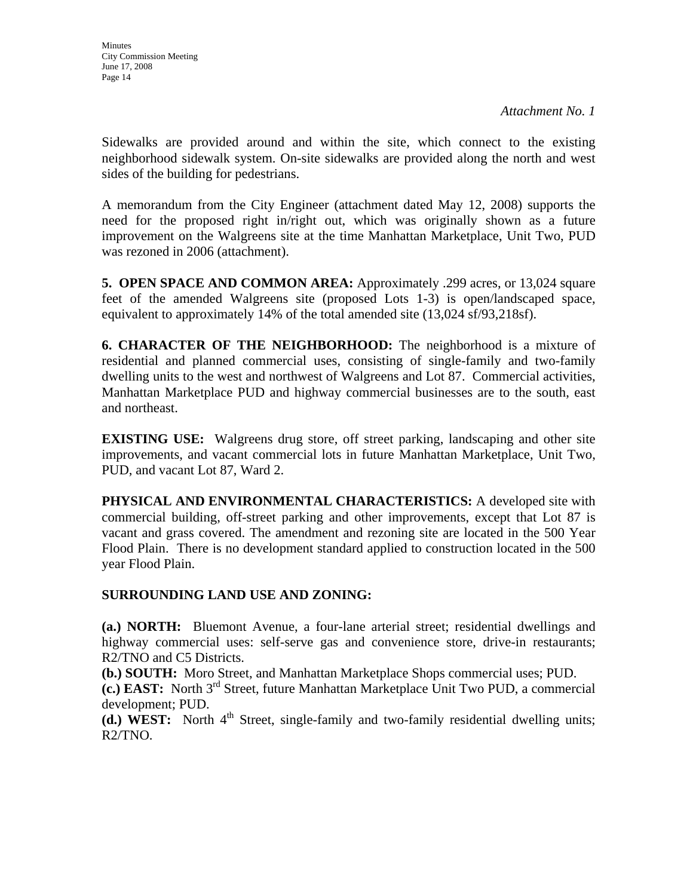Sidewalks are provided around and within the site, which connect to the existing neighborhood sidewalk system. On-site sidewalks are provided along the north and west sides of the building for pedestrians.

A memorandum from the City Engineer (attachment dated May 12, 2008) supports the need for the proposed right in/right out, which was originally shown as a future improvement on the Walgreens site at the time Manhattan Marketplace, Unit Two, PUD was rezoned in 2006 (attachment).

**5. OPEN SPACE AND COMMON AREA:** Approximately .299 acres, or 13,024 square feet of the amended Walgreens site (proposed Lots 1-3) is open/landscaped space, equivalent to approximately 14% of the total amended site (13,024 sf/93,218sf).

**6. CHARACTER OF THE NEIGHBORHOOD:** The neighborhood is a mixture of residential and planned commercial uses, consisting of single-family and two-family dwelling units to the west and northwest of Walgreens and Lot 87. Commercial activities, Manhattan Marketplace PUD and highway commercial businesses are to the south, east and northeast.

**EXISTING USE:** Walgreens drug store, off street parking, landscaping and other site improvements, and vacant commercial lots in future Manhattan Marketplace, Unit Two, PUD, and vacant Lot 87, Ward 2.

**PHYSICAL AND ENVIRONMENTAL CHARACTERISTICS:** A developed site with commercial building, off-street parking and other improvements, except that Lot 87 is vacant and grass covered. The amendment and rezoning site are located in the 500 Year Flood Plain. There is no development standard applied to construction located in the 500 year Flood Plain.

#### **SURROUNDING LAND USE AND ZONING:**

**(a.) NORTH:** Bluemont Avenue, a four-lane arterial street; residential dwellings and highway commercial uses: self-serve gas and convenience store, drive-in restaurants; R2/TNO and C5 Districts.

**(b.) SOUTH:** Moro Street, and Manhattan Marketplace Shops commercial uses; PUD.

**(c.) EAST:** North 3rd Street, future Manhattan Marketplace Unit Two PUD, a commercial development; PUD.

**(d.) WEST:** North  $4<sup>th</sup>$  Street, single-family and two-family residential dwelling units; R2/TNO.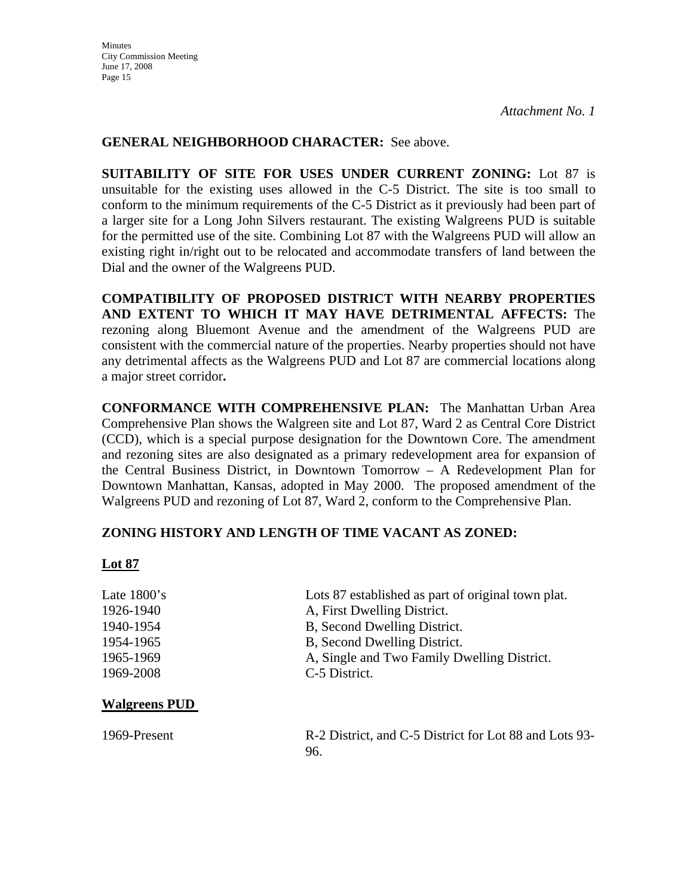#### **GENERAL NEIGHBORHOOD CHARACTER:** See above.

**SUITABILITY OF SITE FOR USES UNDER CURRENT ZONING:** Lot 87 is unsuitable for the existing uses allowed in the C-5 District. The site is too small to conform to the minimum requirements of the C-5 District as it previously had been part of a larger site for a Long John Silvers restaurant. The existing Walgreens PUD is suitable for the permitted use of the site. Combining Lot 87 with the Walgreens PUD will allow an existing right in/right out to be relocated and accommodate transfers of land between the Dial and the owner of the Walgreens PUD.

**COMPATIBILITY OF PROPOSED DISTRICT WITH NEARBY PROPERTIES AND EXTENT TO WHICH IT MAY HAVE DETRIMENTAL AFFECTS:** The rezoning along Bluemont Avenue and the amendment of the Walgreens PUD are consistent with the commercial nature of the properties. Nearby properties should not have any detrimental affects as the Walgreens PUD and Lot 87 are commercial locations along a major street corridor**.** 

**CONFORMANCE WITH COMPREHENSIVE PLAN:** The Manhattan Urban Area Comprehensive Plan shows the Walgreen site and Lot 87, Ward 2 as Central Core District (CCD), which is a special purpose designation for the Downtown Core. The amendment and rezoning sites are also designated as a primary redevelopment area for expansion of the Central Business District, in Downtown Tomorrow – A Redevelopment Plan for Downtown Manhattan, Kansas, adopted in May 2000. The proposed amendment of the Walgreens PUD and rezoning of Lot 87, Ward 2, conform to the Comprehensive Plan.

#### **ZONING HISTORY AND LENGTH OF TIME VACANT AS ZONED:**

#### **Lot 87**

| Late $1800$ 's | Lots 87 established as part of original town plat. |
|----------------|----------------------------------------------------|
| 1926-1940      | A, First Dwelling District.                        |
| 1940-1954      | B, Second Dwelling District.                       |
| 1954-1965      | B, Second Dwelling District.                       |
| 1965-1969      | A, Single and Two Family Dwelling District.        |
| 1969-2008      | C-5 District.                                      |

#### **Walgreens PUD**

1969-Present R-2 District, and C-5 District for Lot 88 and Lots 93- 96.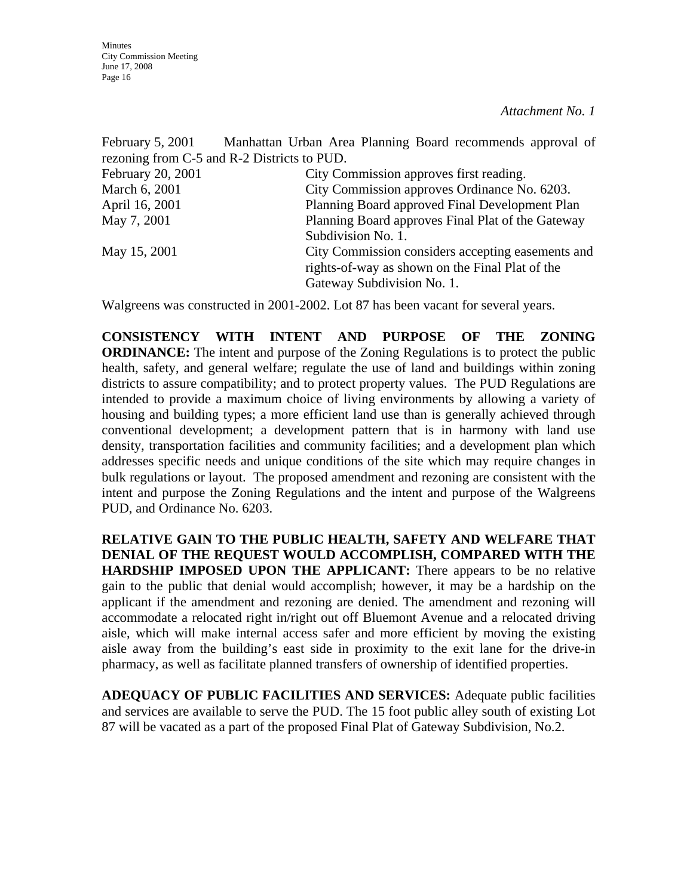| February 5, 2001  | Manhattan Urban Area Planning Board recommends approval of<br>rezoning from C-5 and R-2 Districts to PUD. |
|-------------------|-----------------------------------------------------------------------------------------------------------|
| February 20, 2001 | City Commission approves first reading.                                                                   |
| March 6, 2001     | City Commission approves Ordinance No. 6203.                                                              |
| April 16, 2001    | Planning Board approved Final Development Plan                                                            |
| May 7, 2001       | Planning Board approves Final Plat of the Gateway                                                         |
|                   | Subdivision No. 1.                                                                                        |
| May 15, 2001      | City Commission considers accepting easements and                                                         |
|                   | rights-of-way as shown on the Final Plat of the                                                           |
|                   | Gateway Subdivision No. 1.                                                                                |

Walgreens was constructed in 2001-2002. Lot 87 has been vacant for several years.

**CONSISTENCY WITH INTENT AND PURPOSE OF THE ZONING ORDINANCE:** The intent and purpose of the Zoning Regulations is to protect the public health, safety, and general welfare; regulate the use of land and buildings within zoning districts to assure compatibility; and to protect property values. The PUD Regulations are intended to provide a maximum choice of living environments by allowing a variety of housing and building types; a more efficient land use than is generally achieved through conventional development; a development pattern that is in harmony with land use density, transportation facilities and community facilities; and a development plan which addresses specific needs and unique conditions of the site which may require changes in bulk regulations or layout. The proposed amendment and rezoning are consistent with the intent and purpose the Zoning Regulations and the intent and purpose of the Walgreens PUD, and Ordinance No. 6203.

**RELATIVE GAIN TO THE PUBLIC HEALTH, SAFETY AND WELFARE THAT DENIAL OF THE REQUEST WOULD ACCOMPLISH, COMPARED WITH THE HARDSHIP IMPOSED UPON THE APPLICANT:** There appears to be no relative gain to the public that denial would accomplish; however, it may be a hardship on the applicant if the amendment and rezoning are denied. The amendment and rezoning will accommodate a relocated right in/right out off Bluemont Avenue and a relocated driving aisle, which will make internal access safer and more efficient by moving the existing aisle away from the building's east side in proximity to the exit lane for the drive-in pharmacy, as well as facilitate planned transfers of ownership of identified properties.

**ADEQUACY OF PUBLIC FACILITIES AND SERVICES:** Adequate public facilities and services are available to serve the PUD. The 15 foot public alley south of existing Lot 87 will be vacated as a part of the proposed Final Plat of Gateway Subdivision, No.2.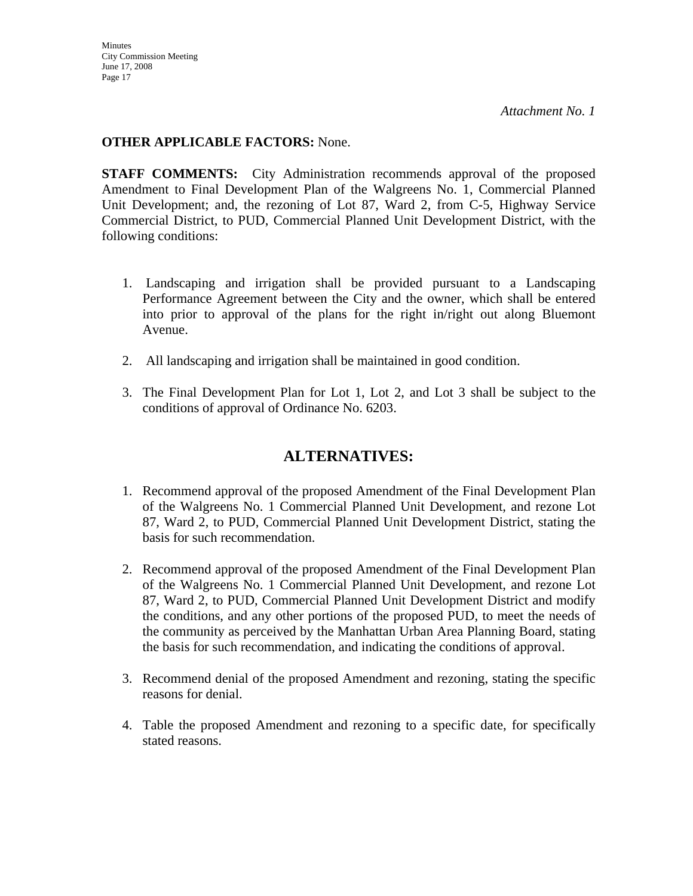**Minutes** City Commission Meeting June 17, 2008 Page 17

*Attachment No. 1*

### **OTHER APPLICABLE FACTORS:** None.

**STAFF COMMENTS:** City Administration recommends approval of the proposed Amendment to Final Development Plan of the Walgreens No. 1, Commercial Planned Unit Development; and, the rezoning of Lot 87, Ward 2, from C-5, Highway Service Commercial District, to PUD, Commercial Planned Unit Development District, with the following conditions:

- 1. Landscaping and irrigation shall be provided pursuant to a Landscaping Performance Agreement between the City and the owner, which shall be entered into prior to approval of the plans for the right in/right out along Bluemont Avenue.
- 2. All landscaping and irrigation shall be maintained in good condition.
- 3. The Final Development Plan for Lot 1, Lot 2, and Lot 3 shall be subject to the conditions of approval of Ordinance No. 6203.

# **ALTERNATIVES:**

- 1. Recommend approval of the proposed Amendment of the Final Development Plan of the Walgreens No. 1 Commercial Planned Unit Development, and rezone Lot 87, Ward 2, to PUD, Commercial Planned Unit Development District, stating the basis for such recommendation.
- 2. Recommend approval of the proposed Amendment of the Final Development Plan of the Walgreens No. 1 Commercial Planned Unit Development, and rezone Lot 87, Ward 2, to PUD, Commercial Planned Unit Development District and modify the conditions, and any other portions of the proposed PUD, to meet the needs of the community as perceived by the Manhattan Urban Area Planning Board, stating the basis for such recommendation, and indicating the conditions of approval.
- 3. Recommend denial of the proposed Amendment and rezoning, stating the specific reasons for denial.
- 4. Table the proposed Amendment and rezoning to a specific date, for specifically stated reasons.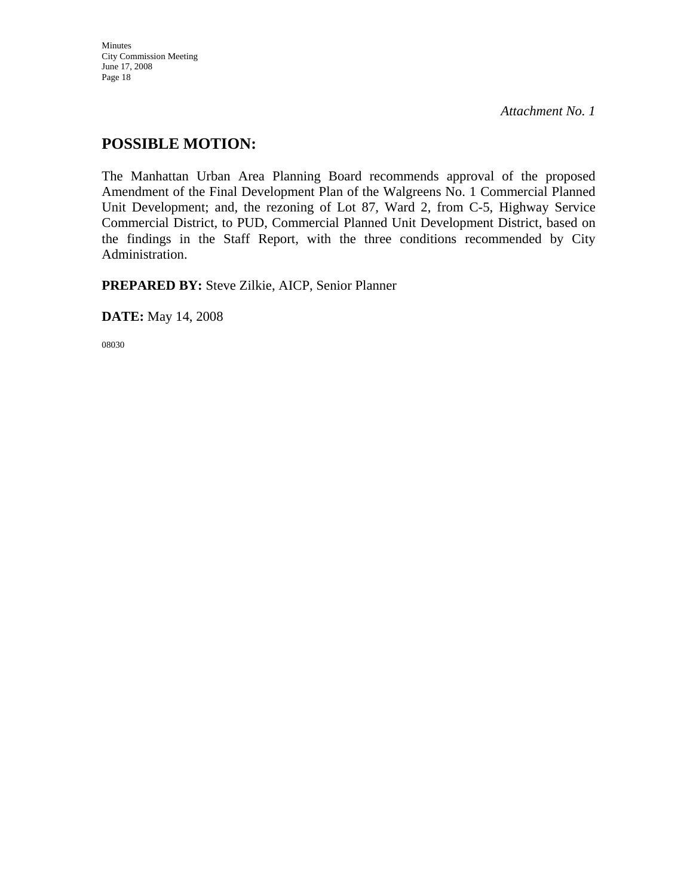Minutes City Commission Meeting June 17, 2008 Page 18

*Attachment No. 1*

# **POSSIBLE MOTION:**

The Manhattan Urban Area Planning Board recommends approval of the proposed Amendment of the Final Development Plan of the Walgreens No. 1 Commercial Planned Unit Development; and, the rezoning of Lot 87, Ward 2, from C-5, Highway Service Commercial District, to PUD, Commercial Planned Unit Development District, based on the findings in the Staff Report, with the three conditions recommended by City Administration.

**PREPARED BY:** Steve Zilkie, AICP, Senior Planner

**DATE:** May 14, 2008

08030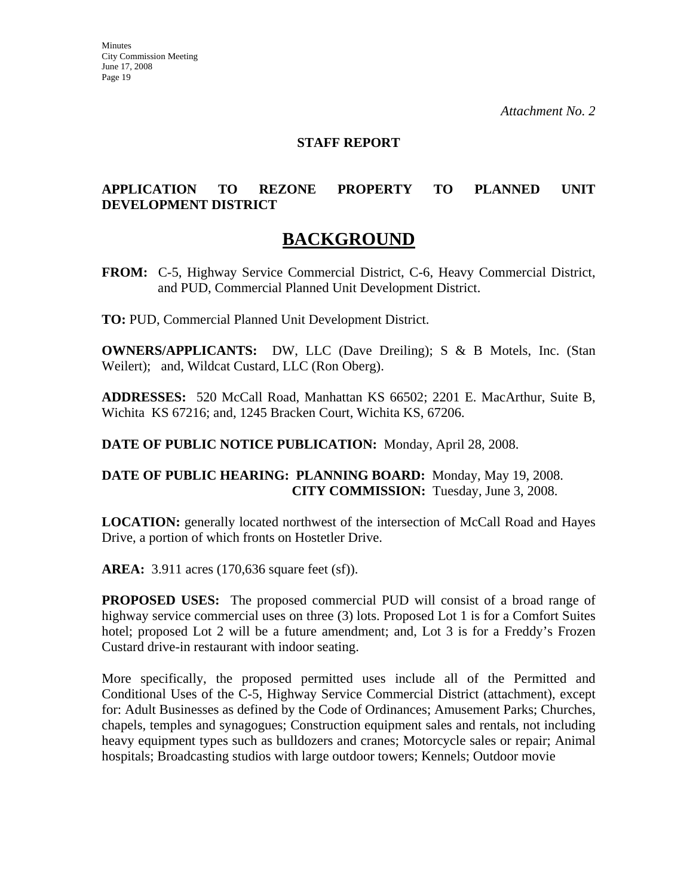#### **STAFF REPORT**

### **APPLICATION TO REZONE PROPERTY TO PLANNED UNIT DEVELOPMENT DISTRICT**

# **BACKGROUND**

**FROM:** C-5, Highway Service Commercial District, C-6, Heavy Commercial District, and PUD, Commercial Planned Unit Development District.

**TO:** PUD, Commercial Planned Unit Development District.

**OWNERS/APPLICANTS:** DW, LLC (Dave Dreiling); S & B Motels, Inc. (Stan Weilert); and, Wildcat Custard, LLC (Ron Oberg).

**ADDRESSES:** 520 McCall Road, Manhattan KS 66502; 2201 E. MacArthur, Suite B, Wichita KS 67216; and, 1245 Bracken Court, Wichita KS, 67206.

**DATE OF PUBLIC NOTICE PUBLICATION:** Monday, April 28, 2008.

#### **DATE OF PUBLIC HEARING: PLANNING BOARD:** Monday, May 19, 2008. **CITY COMMISSION:** Tuesday, June 3, 2008.

**LOCATION:** generally located northwest of the intersection of McCall Road and Hayes Drive, a portion of which fronts on Hostetler Drive.

**AREA:** 3.911 acres (170,636 square feet (sf)).

**PROPOSED USES:** The proposed commercial PUD will consist of a broad range of highway service commercial uses on three (3) lots. Proposed Lot 1 is for a Comfort Suites hotel; proposed Lot 2 will be a future amendment; and, Lot 3 is for a Freddy's Frozen Custard drive-in restaurant with indoor seating.

More specifically, the proposed permitted uses include all of the Permitted and Conditional Uses of the C-5, Highway Service Commercial District (attachment), except for: Adult Businesses as defined by the Code of Ordinances; Amusement Parks; Churches, chapels, temples and synagogues; Construction equipment sales and rentals, not including heavy equipment types such as bulldozers and cranes; Motorcycle sales or repair; Animal hospitals; Broadcasting studios with large outdoor towers; Kennels; Outdoor movie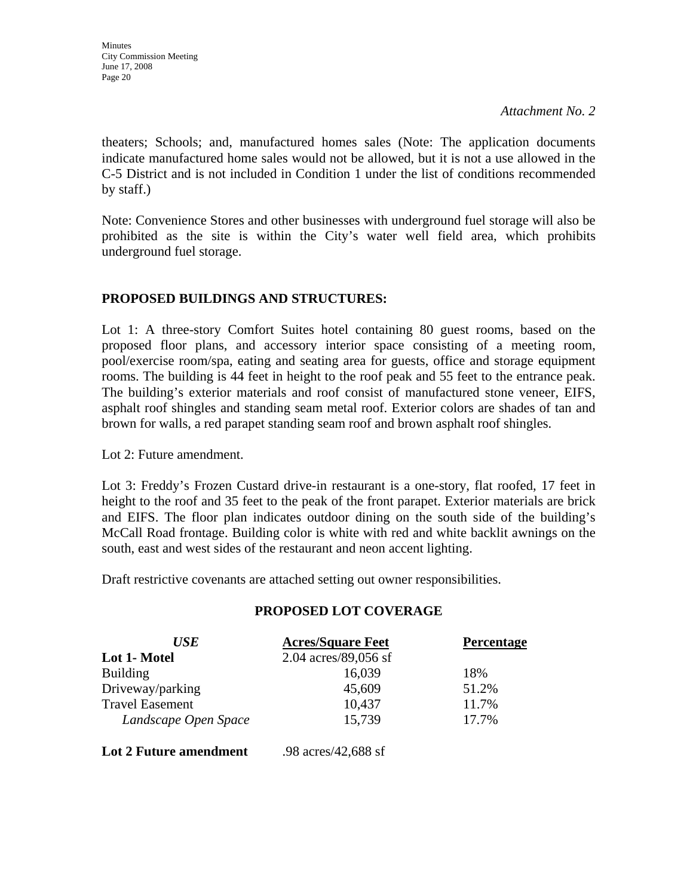theaters; Schools; and, manufactured homes sales (Note: The application documents indicate manufactured home sales would not be allowed, but it is not a use allowed in the C-5 District and is not included in Condition 1 under the list of conditions recommended by staff.)

Note: Convenience Stores and other businesses with underground fuel storage will also be prohibited as the site is within the City's water well field area, which prohibits underground fuel storage.

# **PROPOSED BUILDINGS AND STRUCTURES:**

Lot 1: A three-story Comfort Suites hotel containing 80 guest rooms, based on the proposed floor plans, and accessory interior space consisting of a meeting room, pool/exercise room/spa, eating and seating area for guests, office and storage equipment rooms. The building is 44 feet in height to the roof peak and 55 feet to the entrance peak. The building's exterior materials and roof consist of manufactured stone veneer, EIFS, asphalt roof shingles and standing seam metal roof. Exterior colors are shades of tan and brown for walls, a red parapet standing seam roof and brown asphalt roof shingles.

Lot 2: Future amendment.

Lot 3: Freddy's Frozen Custard drive-in restaurant is a one-story, flat roofed, 17 feet in height to the roof and 35 feet to the peak of the front parapet. Exterior materials are brick and EIFS. The floor plan indicates outdoor dining on the south side of the building's McCall Road frontage. Building color is white with red and white backlit awnings on the south, east and west sides of the restaurant and neon accent lighting.

Draft restrictive covenants are attached setting out owner responsibilities.

| <b>USE</b>                    | <b>Acres/Square Feet</b> | <b>Percentage</b> |
|-------------------------------|--------------------------|-------------------|
| Lot 1- Motel                  | 2.04 acres/89,056 sf     |                   |
| <b>Building</b>               | 16,039                   | 18%               |
| Driveway/parking              | 45,609                   | 51.2%             |
| <b>Travel Easement</b>        | 10,437                   | 11.7%             |
| Landscape Open Space          | 15,739                   | 17.7%             |
| <b>Lot 2 Future amendment</b> | .98 acres/42,688 sf      |                   |

# **PROPOSED LOT COVERAGE**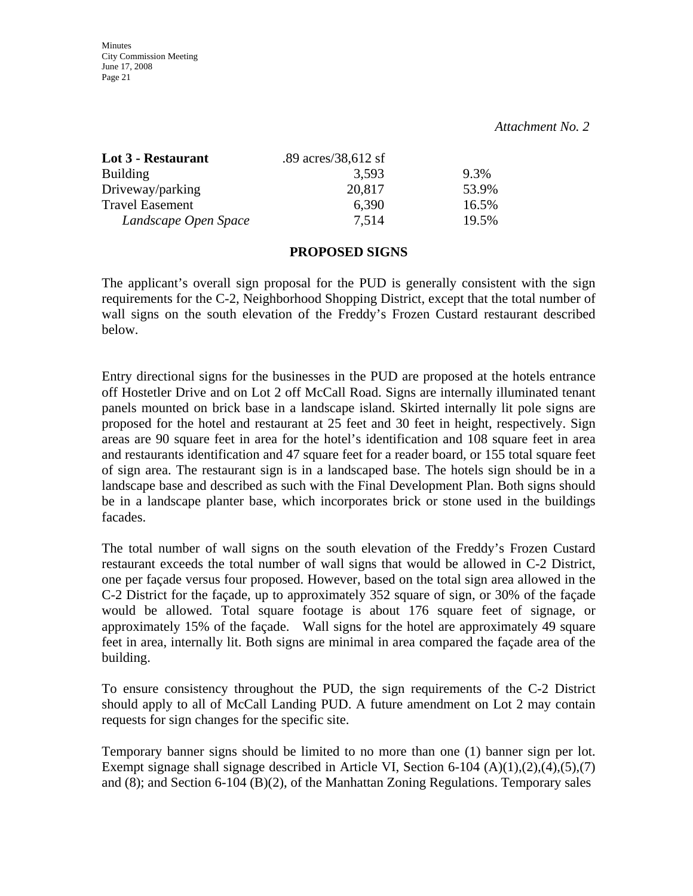| Lot 3 - Restaurant     | .89 $\arccos/38,612$ sf |       |
|------------------------|-------------------------|-------|
| <b>Building</b>        | 3.593                   | 9.3%  |
| Driveway/parking       | 20,817                  | 53.9% |
| <b>Travel Easement</b> | 6,390                   | 16.5% |
| Landscape Open Space   | 7.514                   | 19.5% |

#### **PROPOSED SIGNS**

The applicant's overall sign proposal for the PUD is generally consistent with the sign requirements for the C-2, Neighborhood Shopping District, except that the total number of wall signs on the south elevation of the Freddy's Frozen Custard restaurant described below.

Entry directional signs for the businesses in the PUD are proposed at the hotels entrance off Hostetler Drive and on Lot 2 off McCall Road. Signs are internally illuminated tenant panels mounted on brick base in a landscape island. Skirted internally lit pole signs are proposed for the hotel and restaurant at 25 feet and 30 feet in height, respectively. Sign areas are 90 square feet in area for the hotel's identification and 108 square feet in area and restaurants identification and 47 square feet for a reader board, or 155 total square feet of sign area. The restaurant sign is in a landscaped base. The hotels sign should be in a landscape base and described as such with the Final Development Plan. Both signs should be in a landscape planter base, which incorporates brick or stone used in the buildings facades.

The total number of wall signs on the south elevation of the Freddy's Frozen Custard restaurant exceeds the total number of wall signs that would be allowed in C-2 District, one per façade versus four proposed. However, based on the total sign area allowed in the C-2 District for the façade, up to approximately 352 square of sign, or 30% of the façade would be allowed. Total square footage is about 176 square feet of signage, or approximately 15% of the façade. Wall signs for the hotel are approximately 49 square feet in area, internally lit. Both signs are minimal in area compared the façade area of the building.

To ensure consistency throughout the PUD, the sign requirements of the C-2 District should apply to all of McCall Landing PUD. A future amendment on Lot 2 may contain requests for sign changes for the specific site.

Temporary banner signs should be limited to no more than one (1) banner sign per lot. Exempt signage shall signage described in Article VI, Section 6-104  $(A)(1),(2),(4),(5),(7)$ and (8); and Section 6-104 (B)(2), of the Manhattan Zoning Regulations. Temporary sales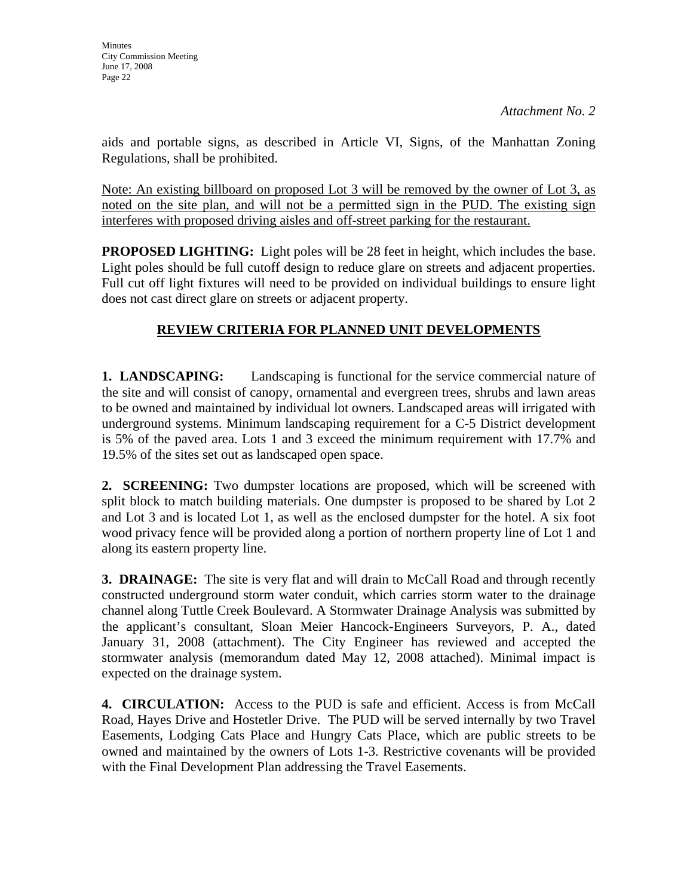aids and portable signs, as described in Article VI, Signs, of the Manhattan Zoning Regulations, shall be prohibited.

Note: An existing billboard on proposed Lot 3 will be removed by the owner of Lot 3, as noted on the site plan, and will not be a permitted sign in the PUD. The existing sign interferes with proposed driving aisles and off-street parking for the restaurant.

**PROPOSED LIGHTING:** Light poles will be 28 feet in height, which includes the base. Light poles should be full cutoff design to reduce glare on streets and adjacent properties. Full cut off light fixtures will need to be provided on individual buildings to ensure light does not cast direct glare on streets or adjacent property.

# **REVIEW CRITERIA FOR PLANNED UNIT DEVELOPMENTS**

**1. LANDSCAPING:** Landscaping is functional for the service commercial nature of the site and will consist of canopy, ornamental and evergreen trees, shrubs and lawn areas to be owned and maintained by individual lot owners. Landscaped areas will irrigated with underground systems. Minimum landscaping requirement for a C-5 District development is 5% of the paved area. Lots 1 and 3 exceed the minimum requirement with 17.7% and 19.5% of the sites set out as landscaped open space.

**2. SCREENING:** Two dumpster locations are proposed, which will be screened with split block to match building materials. One dumpster is proposed to be shared by Lot 2 and Lot 3 and is located Lot 1, as well as the enclosed dumpster for the hotel. A six foot wood privacy fence will be provided along a portion of northern property line of Lot 1 and along its eastern property line.

**3. DRAINAGE:** The site is very flat and will drain to McCall Road and through recently constructed underground storm water conduit, which carries storm water to the drainage channel along Tuttle Creek Boulevard. A Stormwater Drainage Analysis was submitted by the applicant's consultant, Sloan Meier Hancock-Engineers Surveyors, P. A., dated January 31, 2008 (attachment). The City Engineer has reviewed and accepted the stormwater analysis (memorandum dated May 12, 2008 attached). Minimal impact is expected on the drainage system.

**4. CIRCULATION:** Access to the PUD is safe and efficient. Access is from McCall Road, Hayes Drive and Hostetler Drive. The PUD will be served internally by two Travel Easements, Lodging Cats Place and Hungry Cats Place, which are public streets to be owned and maintained by the owners of Lots 1-3. Restrictive covenants will be provided with the Final Development Plan addressing the Travel Easements.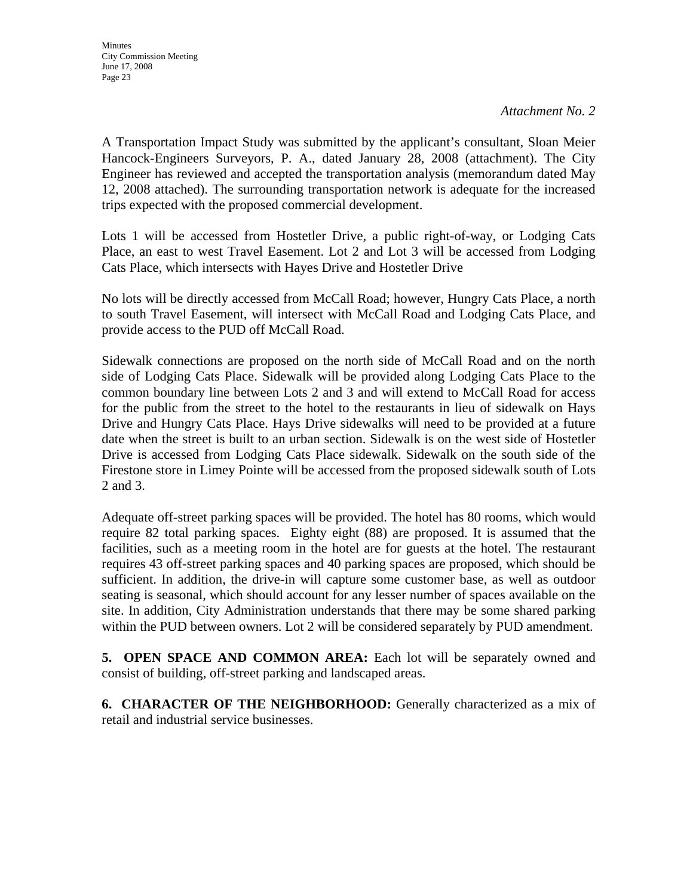A Transportation Impact Study was submitted by the applicant's consultant, Sloan Meier Hancock-Engineers Surveyors, P. A., dated January 28, 2008 (attachment). The City Engineer has reviewed and accepted the transportation analysis (memorandum dated May 12, 2008 attached). The surrounding transportation network is adequate for the increased trips expected with the proposed commercial development.

Lots 1 will be accessed from Hostetler Drive, a public right-of-way, or Lodging Cats Place, an east to west Travel Easement. Lot 2 and Lot 3 will be accessed from Lodging Cats Place, which intersects with Hayes Drive and Hostetler Drive

No lots will be directly accessed from McCall Road; however, Hungry Cats Place, a north to south Travel Easement, will intersect with McCall Road and Lodging Cats Place, and provide access to the PUD off McCall Road.

Sidewalk connections are proposed on the north side of McCall Road and on the north side of Lodging Cats Place. Sidewalk will be provided along Lodging Cats Place to the common boundary line between Lots 2 and 3 and will extend to McCall Road for access for the public from the street to the hotel to the restaurants in lieu of sidewalk on Hays Drive and Hungry Cats Place. Hays Drive sidewalks will need to be provided at a future date when the street is built to an urban section. Sidewalk is on the west side of Hostetler Drive is accessed from Lodging Cats Place sidewalk. Sidewalk on the south side of the Firestone store in Limey Pointe will be accessed from the proposed sidewalk south of Lots 2 and 3.

Adequate off-street parking spaces will be provided. The hotel has 80 rooms, which would require 82 total parking spaces. Eighty eight (88) are proposed. It is assumed that the facilities, such as a meeting room in the hotel are for guests at the hotel. The restaurant requires 43 off-street parking spaces and 40 parking spaces are proposed, which should be sufficient. In addition, the drive-in will capture some customer base, as well as outdoor seating is seasonal, which should account for any lesser number of spaces available on the site. In addition, City Administration understands that there may be some shared parking within the PUD between owners. Lot 2 will be considered separately by PUD amendment.

**5. OPEN SPACE AND COMMON AREA:** Each lot will be separately owned and consist of building, off-street parking and landscaped areas.

**6. CHARACTER OF THE NEIGHBORHOOD:** Generally characterized as a mix of retail and industrial service businesses.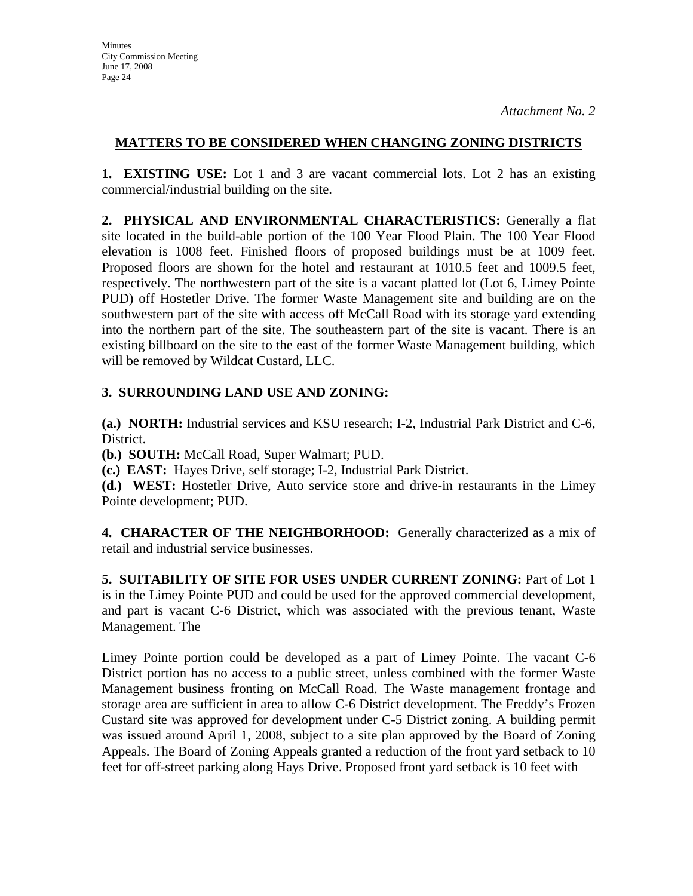## **MATTERS TO BE CONSIDERED WHEN CHANGING ZONING DISTRICTS**

**1. EXISTING USE:** Lot 1 and 3 are vacant commercial lots. Lot 2 has an existing commercial/industrial building on the site.

**2. PHYSICAL AND ENVIRONMENTAL CHARACTERISTICS:** Generally a flat site located in the build-able portion of the 100 Year Flood Plain. The 100 Year Flood elevation is 1008 feet. Finished floors of proposed buildings must be at 1009 feet. Proposed floors are shown for the hotel and restaurant at 1010.5 feet and 1009.5 feet, respectively. The northwestern part of the site is a vacant platted lot (Lot 6, Limey Pointe PUD) off Hostetler Drive. The former Waste Management site and building are on the southwestern part of the site with access off McCall Road with its storage yard extending into the northern part of the site. The southeastern part of the site is vacant. There is an existing billboard on the site to the east of the former Waste Management building, which will be removed by Wildcat Custard, LLC.

# **3. SURROUNDING LAND USE AND ZONING:**

**(a.) NORTH:** Industrial services and KSU research; I-2, Industrial Park District and C-6, District.

**(b.) SOUTH:** McCall Road, Super Walmart; PUD.

**(c.) EAST:** Hayes Drive, self storage; I-2, Industrial Park District.

**(d.) WEST:** Hostetler Drive, Auto service store and drive-in restaurants in the Limey Pointe development; PUD.

**4. CHARACTER OF THE NEIGHBORHOOD:** Generally characterized as a mix of retail and industrial service businesses.

**5. SUITABILITY OF SITE FOR USES UNDER CURRENT ZONING:** Part of Lot 1 is in the Limey Pointe PUD and could be used for the approved commercial development, and part is vacant C-6 District, which was associated with the previous tenant, Waste Management. The

Limey Pointe portion could be developed as a part of Limey Pointe. The vacant C-6 District portion has no access to a public street, unless combined with the former Waste Management business fronting on McCall Road. The Waste management frontage and storage area are sufficient in area to allow C-6 District development. The Freddy's Frozen Custard site was approved for development under C-5 District zoning. A building permit was issued around April 1, 2008, subject to a site plan approved by the Board of Zoning Appeals. The Board of Zoning Appeals granted a reduction of the front yard setback to 10 feet for off-street parking along Hays Drive. Proposed front yard setback is 10 feet with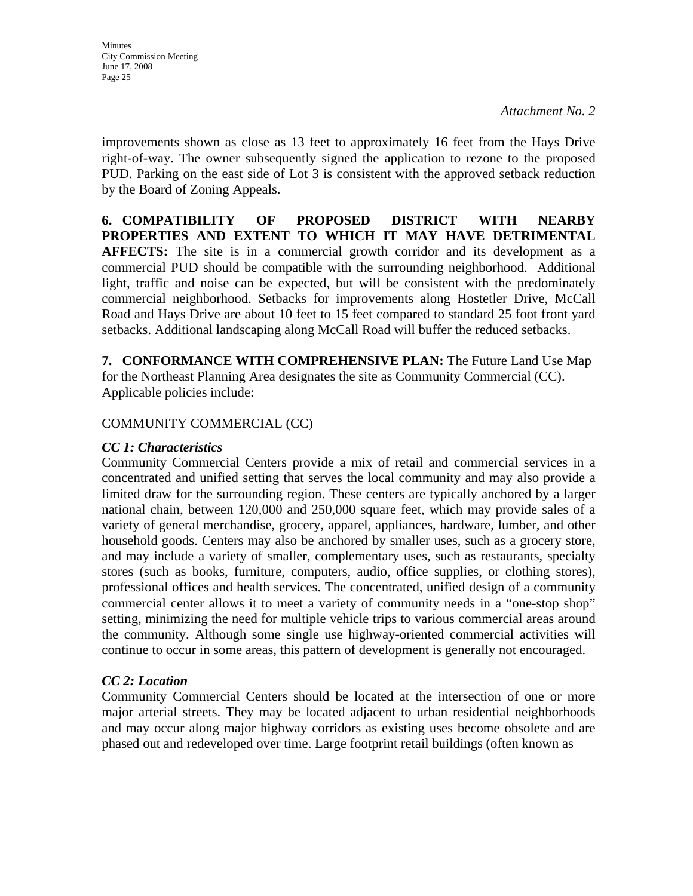improvements shown as close as 13 feet to approximately 16 feet from the Hays Drive right-of-way. The owner subsequently signed the application to rezone to the proposed PUD. Parking on the east side of Lot 3 is consistent with the approved setback reduction by the Board of Zoning Appeals.

**6. COMPATIBILITY OF PROPOSED DISTRICT WITH NEARBY PROPERTIES AND EXTENT TO WHICH IT MAY HAVE DETRIMENTAL AFFECTS:** The site is in a commercial growth corridor and its development as a commercial PUD should be compatible with the surrounding neighborhood. Additional light, traffic and noise can be expected, but will be consistent with the predominately commercial neighborhood. Setbacks for improvements along Hostetler Drive, McCall Road and Hays Drive are about 10 feet to 15 feet compared to standard 25 foot front yard setbacks. Additional landscaping along McCall Road will buffer the reduced setbacks.

**7. CONFORMANCE WITH COMPREHENSIVE PLAN:** The Future Land Use Map for the Northeast Planning Area designates the site as Community Commercial (CC). Applicable policies include:

## COMMUNITY COMMERCIAL (CC)

#### *CC 1: Characteristics*

Community Commercial Centers provide a mix of retail and commercial services in a concentrated and unified setting that serves the local community and may also provide a limited draw for the surrounding region. These centers are typically anchored by a larger national chain, between 120,000 and 250,000 square feet, which may provide sales of a variety of general merchandise, grocery, apparel, appliances, hardware, lumber, and other household goods. Centers may also be anchored by smaller uses, such as a grocery store, and may include a variety of smaller, complementary uses, such as restaurants, specialty stores (such as books, furniture, computers, audio, office supplies, or clothing stores), professional offices and health services. The concentrated, unified design of a community commercial center allows it to meet a variety of community needs in a "one-stop shop" setting, minimizing the need for multiple vehicle trips to various commercial areas around the community. Although some single use highway-oriented commercial activities will continue to occur in some areas, this pattern of development is generally not encouraged.

#### *CC 2: Location*

Community Commercial Centers should be located at the intersection of one or more major arterial streets. They may be located adjacent to urban residential neighborhoods and may occur along major highway corridors as existing uses become obsolete and are phased out and redeveloped over time. Large footprint retail buildings (often known as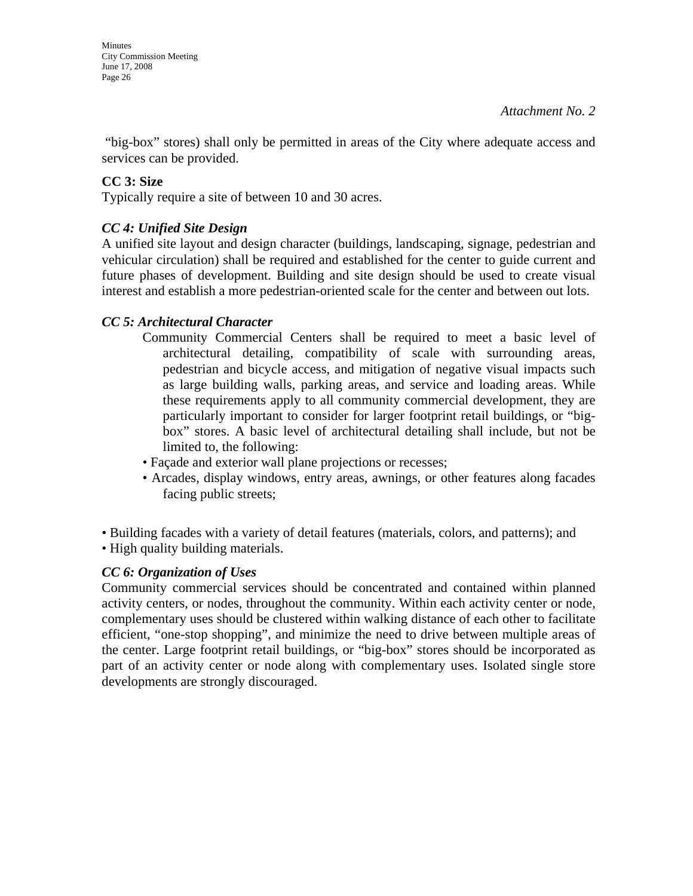"big-box" stores) shall only be permitted in areas of the City where adequate access and services can be provided.

## **CC 3: Size**

Typically require a site of between 10 and 30 acres.

# *CC 4: Unified Site Design*

A unified site layout and design character (buildings, landscaping, signage, pedestrian and vehicular circulation) shall be required and established for the center to guide current and future phases of development. Building and site design should be used to create visual interest and establish a more pedestrian-oriented scale for the center and between out lots.

#### *CC 5: Architectural Character*

- Community Commercial Centers shall be required to meet a basic level of architectural detailing, compatibility of scale with surrounding areas, pedestrian and bicycle access, and mitigation of negative visual impacts such as large building walls, parking areas, and service and loading areas. While these requirements apply to all community commercial development, they are particularly important to consider for larger footprint retail buildings, or "bigbox" stores. A basic level of architectural detailing shall include, but not be limited to, the following:
- Façade and exterior wall plane projections or recesses;
- Arcades, display windows, entry areas, awnings, or other features along facades facing public streets;

• Building facades with a variety of detail features (materials, colors, and patterns); and

• High quality building materials.

# *CC 6: Organization of Uses*

Community commercial services should be concentrated and contained within planned activity centers, or nodes, throughout the community. Within each activity center or node, complementary uses should be clustered within walking distance of each other to facilitate efficient, "one-stop shopping", and minimize the need to drive between multiple areas of the center. Large footprint retail buildings, or "big-box" stores should be incorporated as part of an activity center or node along with complementary uses. Isolated single store developments are strongly discouraged.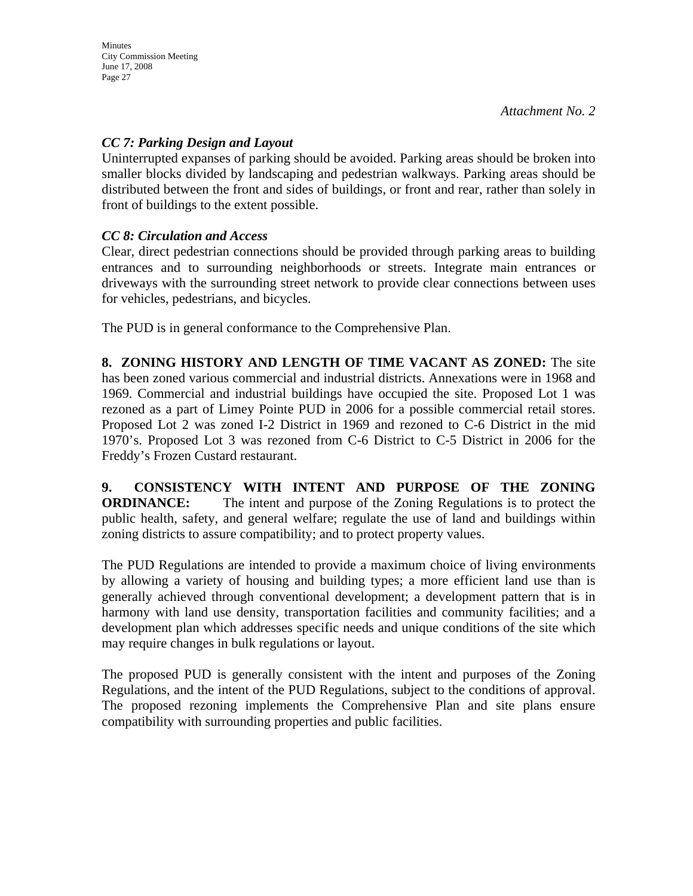## *CC 7: Parking Design and Layout*

Uninterrupted expanses of parking should be avoided. Parking areas should be broken into smaller blocks divided by landscaping and pedestrian walkways. Parking areas should be distributed between the front and sides of buildings, or front and rear, rather than solely in front of buildings to the extent possible.

## *CC 8: Circulation and Access*

Clear, direct pedestrian connections should be provided through parking areas to building entrances and to surrounding neighborhoods or streets. Integrate main entrances or driveways with the surrounding street network to provide clear connections between uses for vehicles, pedestrians, and bicycles.

The PUD is in general conformance to the Comprehensive Plan.

**8. ZONING HISTORY AND LENGTH OF TIME VACANT AS ZONED:** The site has been zoned various commercial and industrial districts. Annexations were in 1968 and 1969. Commercial and industrial buildings have occupied the site. Proposed Lot 1 was rezoned as a part of Limey Pointe PUD in 2006 for a possible commercial retail stores. Proposed Lot 2 was zoned I-2 District in 1969 and rezoned to C-6 District in the mid 1970's. Proposed Lot 3 was rezoned from C-6 District to C-5 District in 2006 for the Freddy's Frozen Custard restaurant.

**9. CONSISTENCY WITH INTENT AND PURPOSE OF THE ZONING ORDINANCE:** The intent and purpose of the Zoning Regulations is to protect the public health, safety, and general welfare; regulate the use of land and buildings within zoning districts to assure compatibility; and to protect property values.

The PUD Regulations are intended to provide a maximum choice of living environments by allowing a variety of housing and building types; a more efficient land use than is generally achieved through conventional development; a development pattern that is in harmony with land use density, transportation facilities and community facilities; and a development plan which addresses specific needs and unique conditions of the site which may require changes in bulk regulations or layout.

The proposed PUD is generally consistent with the intent and purposes of the Zoning Regulations, and the intent of the PUD Regulations, subject to the conditions of approval. The proposed rezoning implements the Comprehensive Plan and site plans ensure compatibility with surrounding properties and public facilities.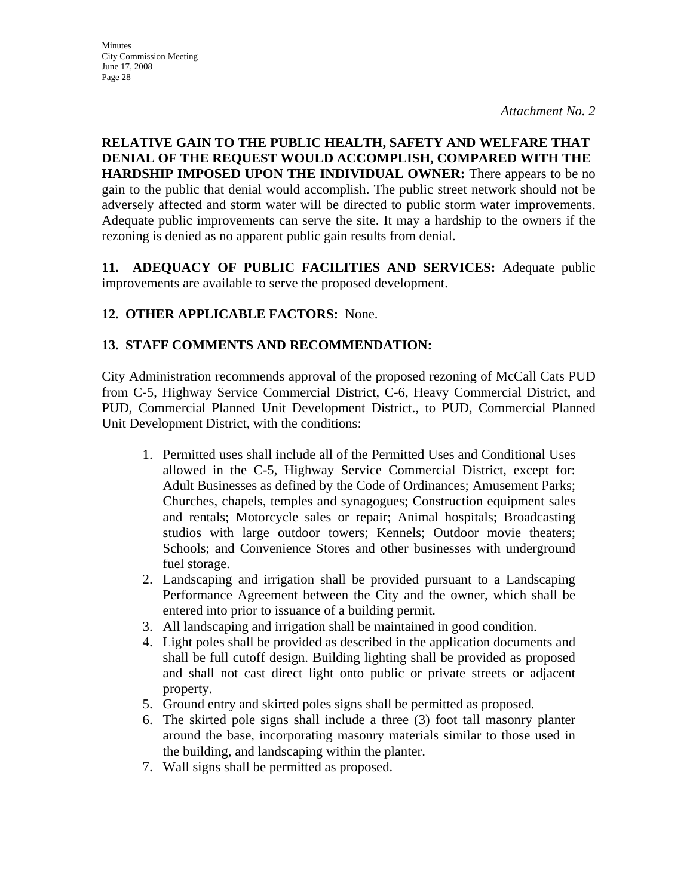## **RELATIVE GAIN TO THE PUBLIC HEALTH, SAFETY AND WELFARE THAT DENIAL OF THE REQUEST WOULD ACCOMPLISH, COMPARED WITH THE HARDSHIP IMPOSED UPON THE INDIVIDUAL OWNER:** There appears to be no gain to the public that denial would accomplish. The public street network should not be adversely affected and storm water will be directed to public storm water improvements. Adequate public improvements can serve the site. It may a hardship to the owners if the rezoning is denied as no apparent public gain results from denial.

**11. ADEQUACY OF PUBLIC FACILITIES AND SERVICES:** Adequate public improvements are available to serve the proposed development.

# **12. OTHER APPLICABLE FACTORS:** None.

# **13. STAFF COMMENTS AND RECOMMENDATION:**

City Administration recommends approval of the proposed rezoning of McCall Cats PUD from C-5, Highway Service Commercial District, C-6, Heavy Commercial District, and PUD, Commercial Planned Unit Development District., to PUD, Commercial Planned Unit Development District, with the conditions:

- 1. Permitted uses shall include all of the Permitted Uses and Conditional Uses allowed in the C-5, Highway Service Commercial District, except for: Adult Businesses as defined by the Code of Ordinances; Amusement Parks; Churches, chapels, temples and synagogues; Construction equipment sales and rentals; Motorcycle sales or repair; Animal hospitals; Broadcasting studios with large outdoor towers; Kennels; Outdoor movie theaters; Schools; and Convenience Stores and other businesses with underground fuel storage.
- 2. Landscaping and irrigation shall be provided pursuant to a Landscaping Performance Agreement between the City and the owner, which shall be entered into prior to issuance of a building permit.
- 3. All landscaping and irrigation shall be maintained in good condition.
- 4. Light poles shall be provided as described in the application documents and shall be full cutoff design. Building lighting shall be provided as proposed and shall not cast direct light onto public or private streets or adjacent property.
- 5. Ground entry and skirted poles signs shall be permitted as proposed.
- 6. The skirted pole signs shall include a three (3) foot tall masonry planter around the base, incorporating masonry materials similar to those used in the building, and landscaping within the planter.
- 7. Wall signs shall be permitted as proposed.